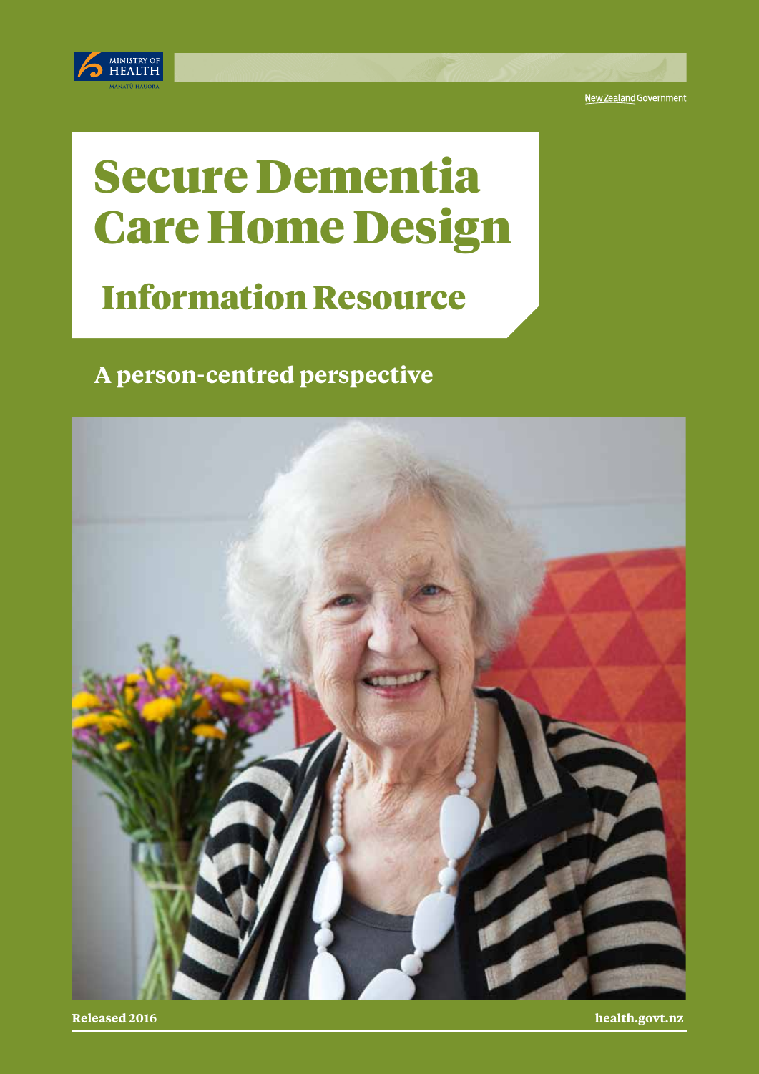

New Zealand Government

# Secure Dementia Care Home Design

## Information Resource

### **A person-centred perspective**



**Released 2016 health.govt.nz**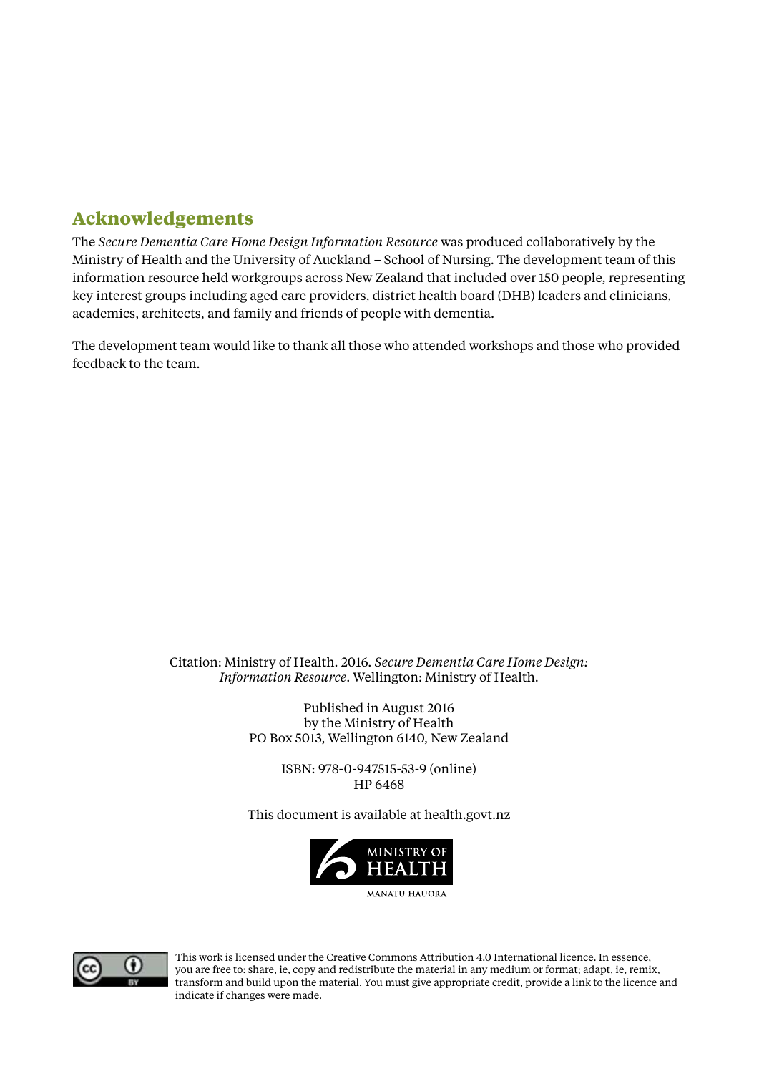#### **Acknowledgements**

The *Secure Dementia Care Home Design Information Resource* was produced collaboratively by the Ministry of Health and the University of Auckland – School of Nursing. The development team of this information resource held workgroups across New Zealand that included over 150 people, representing key interest groups including aged care providers, district health board (DHB) leaders and clinicians, academics, architects, and family and friends of people with dementia.

The development team would like to thank all those who attended workshops and those who provided feedback to the team.

#### Citation: Ministry of Health. 2016. *Secure Dementia Care Home Design: Information Resource*. Wellington: Ministry of Health.

Published in August 2016 by the Ministry of Health PO Box 5013, Wellington 6140, New Zealand

> ISBN: 978-0-947515-53-9 (online) HP 6468

This document is available at health.govt.nz





This work is licensed under the Creative Commons Attribution 4.0 International licence. In essence, you are free to: share, ie, copy and redistribute the material in any medium or format; adapt, ie, remix, transform and build upon the material. You must give appropriate credit, provide a link to the licence and indicate if changes were made.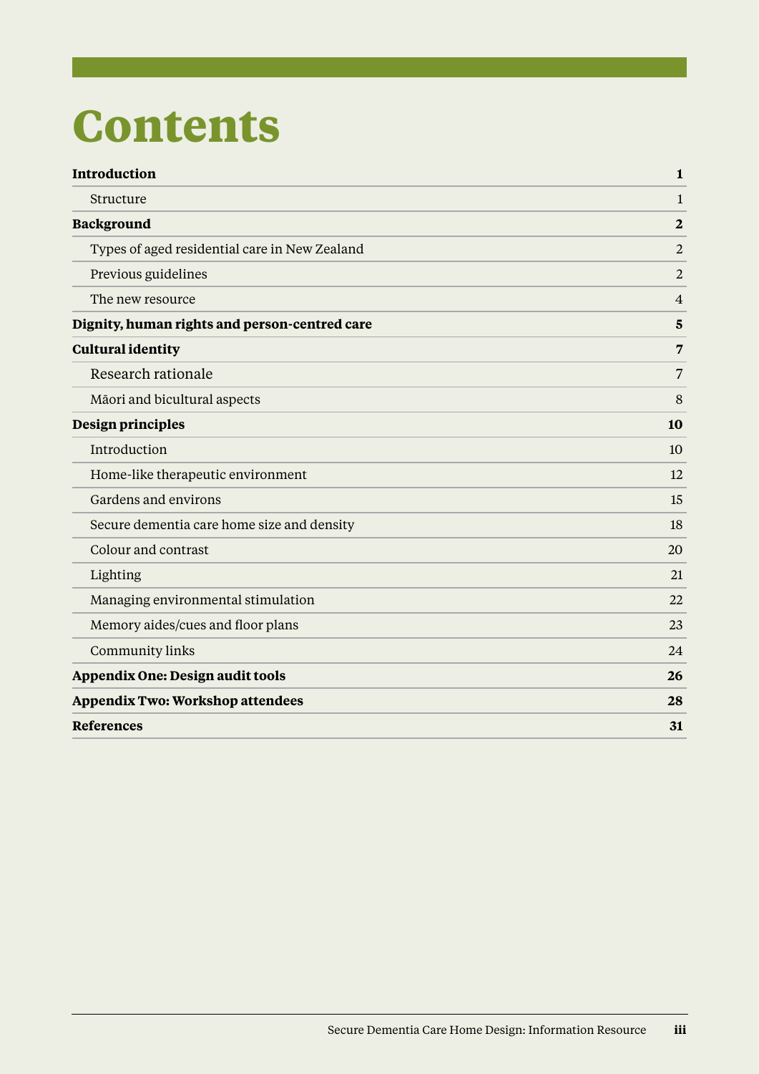# **Contents**

| Introduction                                  | $\mathbf{1}$            |
|-----------------------------------------------|-------------------------|
| Structure                                     | $\mathbf{1}$            |
| <b>Background</b>                             | $\overline{2}$          |
| Types of aged residential care in New Zealand | $\overline{2}$          |
| Previous guidelines                           | $\overline{2}$          |
| The new resource                              | $\overline{4}$          |
| Dignity, human rights and person-centred care | $\overline{\mathbf{5}}$ |
| <b>Cultural identity</b>                      | $\overline{7}$          |
| Research rationale                            | $\overline{7}$          |
| Māori and bicultural aspects                  | 8                       |
| Design principles                             | 10                      |
| Introduction                                  | 10                      |
| Home-like therapeutic environment             | 12                      |
| Gardens and environs                          | 15                      |
| Secure dementia care home size and density    | 18                      |
| Colour and contrast                           | 20                      |
| Lighting                                      | 21                      |
| Managing environmental stimulation            | 22                      |
| Memory aides/cues and floor plans             | 23                      |
| <b>Community links</b>                        | 24                      |
| <b>Appendix One: Design audit tools</b>       | 26                      |
| <b>Appendix Two: Workshop attendees</b>       | 28                      |
| <b>References</b>                             | 31                      |
|                                               |                         |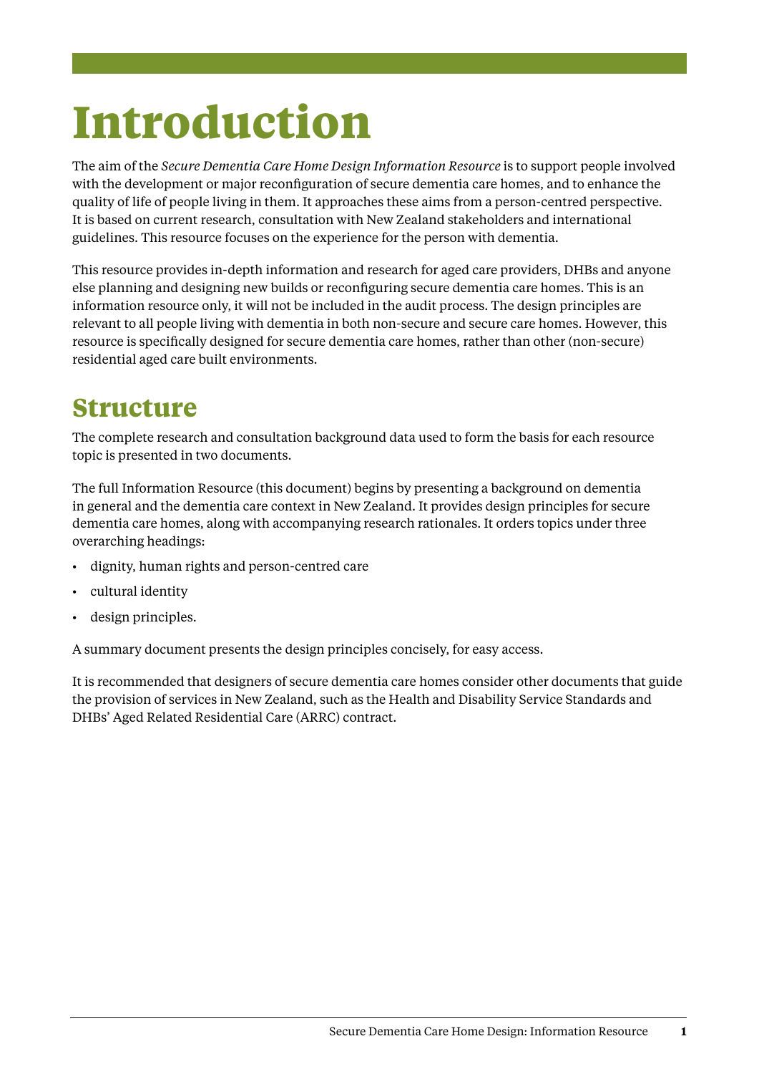# <span id="page-4-0"></span>**Introduction**

The aim of the *Secure Dementia Care Home Design Information Resource* is to support people involved with the development or major reconfiguration of secure dementia care homes, and to enhance the quality of life of people living in them. It approaches these aims from a person-centred perspective. It is based on current research, consultation with New Zealand stakeholders and international guidelines. This resource focuses on the experience for the person with dementia.

This resource provides in-depth information and research for aged care providers, DHBs and anyone else planning and designing new builds or reconfiguring secure dementia care homes. This is an information resource only, it will not be included in the audit process. The design principles are relevant to all people living with dementia in both non-secure and secure care homes. However, this resource is specifically designed for secure dementia care homes, rather than other (non-secure) residential aged care built environments.

### **Structure**

The complete research and consultation background data used to form the basis for each resource topic is presented in two documents.

The full Information Resource (this document) begins by presenting a background on dementia in general and the dementia care context in New Zealand. It provides design principles for secure dementia care homes, along with accompanying research rationales. It orders topics under three overarching headings:

- • dignity, human rights and person-centred care
- cultural identity
- • design principles.

A summary document presents the design principles concisely, for easy access.

It is recommended that designers of secure dementia care homes consider other documents that guide the provision of services in New Zealand, such as the Health and Disability Service Standards and DHBs' Aged Related Residential Care (ARRC) contract.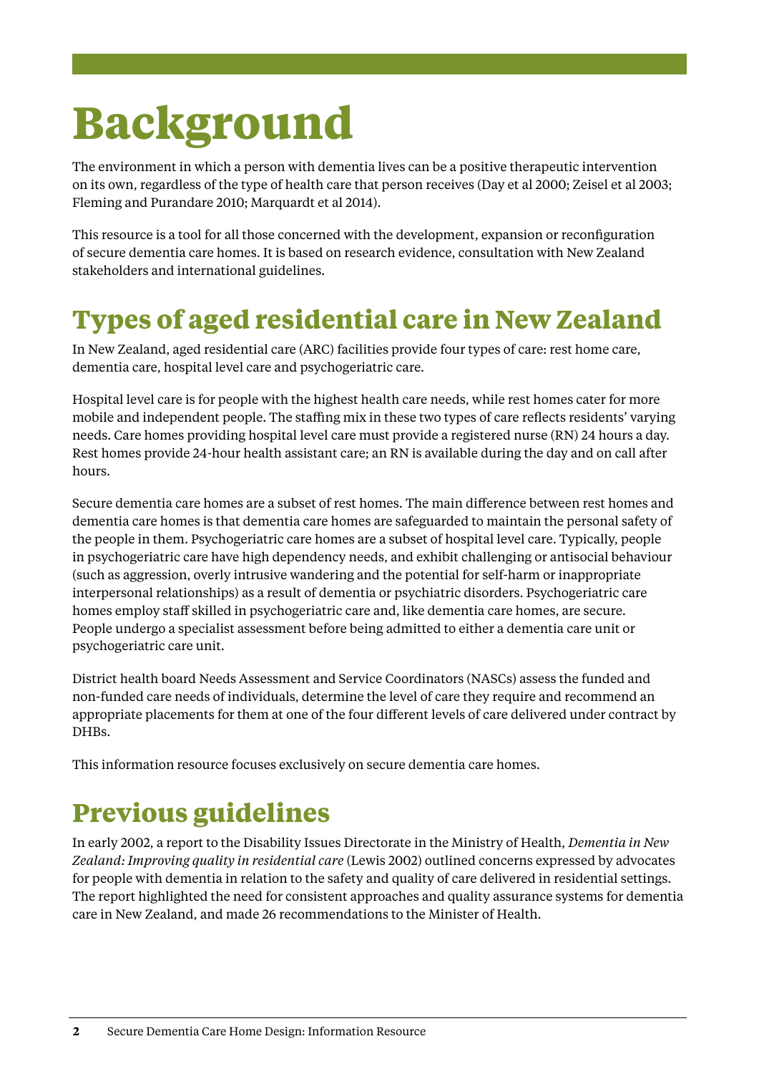# <span id="page-5-0"></span>**Background**

The environment in which a person with dementia lives can be a positive therapeutic intervention on its own, regardless of the type of health care that person receives (Day et al 2000; Zeisel et al 2003; Fleming and Purandare 2010; Marquardt et al 2014).

This resource is a tool for all those concerned with the development, expansion or reconfiguration of secure dementia care homes. It is based on research evidence, consultation with New Zealand stakeholders and international guidelines.

## **Types of aged residential care in New Zealand**

In New Zealand, aged residential care (ARC) facilities provide four types of care: rest home care, dementia care, hospital level care and psychogeriatric care.

Hospital level care is for people with the highest health care needs, while rest homes cater for more mobile and independent people. The staffing mix in these two types of care reflects residents' varying needs. Care homes providing hospital level care must provide a registered nurse (RN) 24 hours a day. Rest homes provide 24-hour health assistant care; an RN is available during the day and on call after hours.

Secure dementia care homes are a subset of rest homes. The main difference between rest homes and dementia care homes is that dementia care homes are safeguarded to maintain the personal safety of the people in them. Psychogeriatric care homes are a subset of hospital level care. Typically, people in psychogeriatric care have high dependency needs, and exhibit challenging or antisocial behaviour (such as aggression, overly intrusive wandering and the potential for self-harm or inappropriate interpersonal relationships) as a result of dementia or psychiatric disorders. Psychogeriatric care homes employ staff skilled in psychogeriatric care and, like dementia care homes, are secure. People undergo a specialist assessment before being admitted to either a dementia care unit or psychogeriatric care unit.

District health board Needs Assessment and Service Coordinators (NASCs) assess the funded and non-funded care needs of individuals, determine the level of care they require and recommend an appropriate placements for them at one of the four different levels of care delivered under contract by DHBs.

This information resource focuses exclusively on secure dementia care homes.

### **Previous guidelines**

In early 2002, a report to the Disability Issues Directorate in the Ministry of Health, *Dementia in New Zealand: Improving quality in residential care* (Lewis 2002) outlined concerns expressed by advocates for people with dementia in relation to the safety and quality of care delivered in residential settings. The report highlighted the need for consistent approaches and quality assurance systems for dementia care in New Zealand, and made 26 recommendations to the Minister of Health.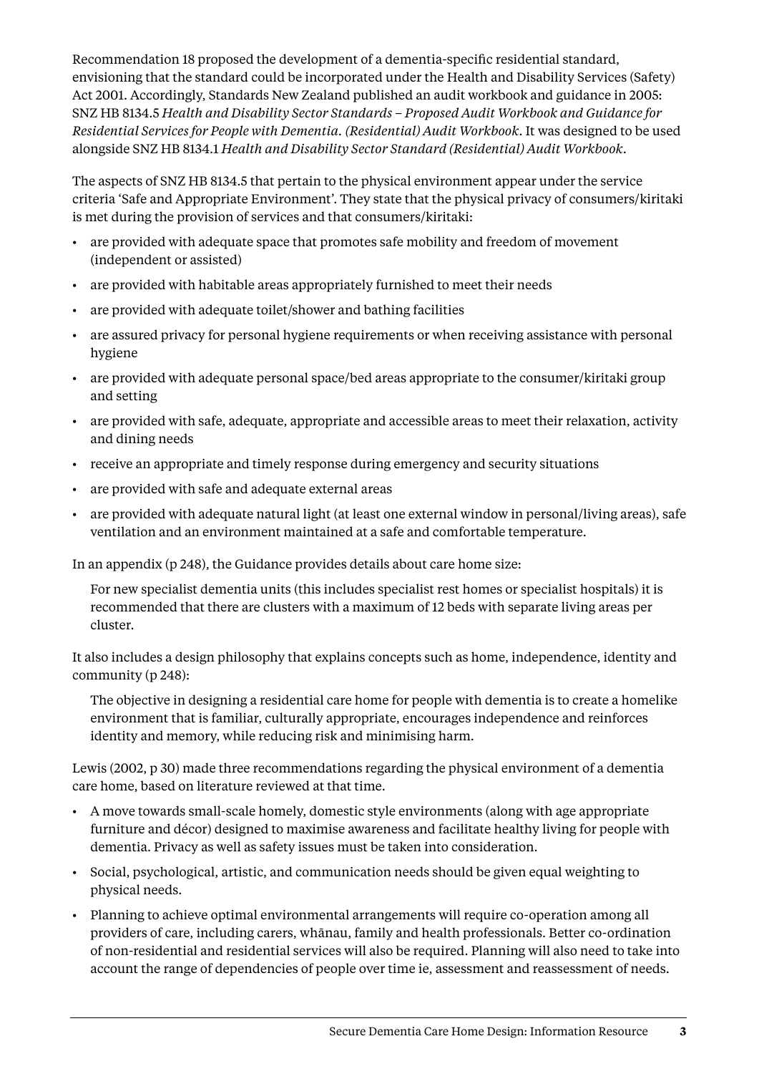Recommendation 18 proposed the development of a dementia-specific residential standard, envisioning that the standard could be incorporated under the Health and Disability Services (Safety) Act 2001. Accordingly, Standards New Zealand published an audit workbook and guidance in 2005: SNZ HB 8134.5 *Health and Disability Sector Standards – Proposed Audit Workbook and Guidance for Residential Services for People with Dementia. (Residential) Audit Workbook*. It was designed to be used alongside SNZ HB 8134.1 *Health and Disability Sector Standard (Residential) Audit Workbook*.

The aspects of SNZ HB 8134.5 that pertain to the physical environment appear under the service criteria 'Safe and Appropriate Environment'. They state that the physical privacy of consumers/kiritaki is met during the provision of services and that consumers/kiritaki:

- are provided with adequate space that promotes safe mobility and freedom of movement (independent or assisted)
- • are provided with habitable areas appropriately furnished to meet their needs
- are provided with adequate toilet/shower and bathing facilities
- • are assured privacy for personal hygiene requirements or when receiving assistance with personal hygiene
- are provided with adequate personal space/bed areas appropriate to the consumer/kiritaki group and setting
- • are provided with safe, adequate, appropriate and accessible areas to meet their relaxation, activity and dining needs
- • receive an appropriate and timely response during emergency and security situations
- • are provided with safe and adequate external areas
- are provided with adequate natural light (at least one external window in personal/living areas), safe ventilation and an environment maintained at a safe and comfortable temperature.

In an appendix (p 248), the Guidance provides details about care home size:

For new specialist dementia units (this includes specialist rest homes or specialist hospitals) it is recommended that there are clusters with a maximum of 12 beds with separate living areas per cluster.

It also includes a design philosophy that explains concepts such as home, independence, identity and community (p 248):

The objective in designing a residential care home for people with dementia is to create a homelike environment that is familiar, culturally appropriate, encourages independence and reinforces identity and memory, while reducing risk and minimising harm.

Lewis (2002, p 30) made three recommendations regarding the physical environment of a dementia care home, based on literature reviewed at that time.

- • A move towards small-scale homely, domestic style environments (along with age appropriate furniture and décor) designed to maximise awareness and facilitate healthy living for people with dementia. Privacy as well as safety issues must be taken into consideration.
- • Social, psychological, artistic, and communication needs should be given equal weighting to physical needs.
- • Planning to achieve optimal environmental arrangements will require co-operation among all providers of care, including carers, whānau, family and health professionals. Better co-ordination of non-residential and residential services will also be required. Planning will also need to take into account the range of dependencies of people over time ie, assessment and reassessment of needs.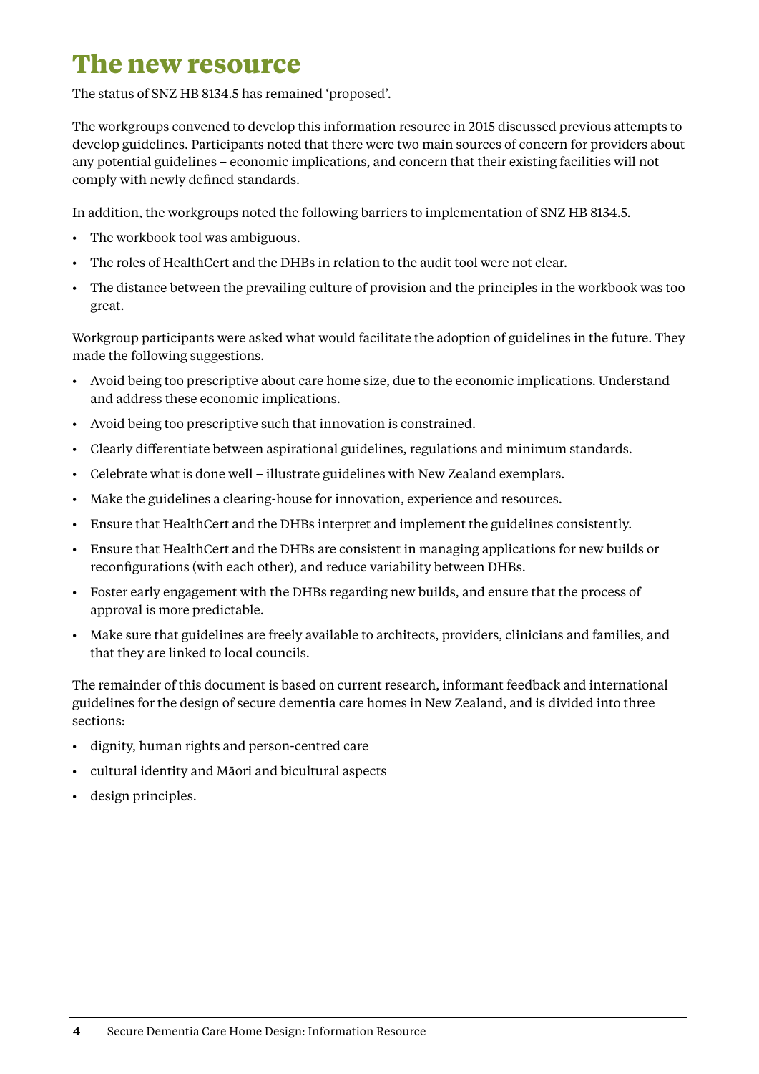### <span id="page-7-0"></span>**The new resource**

The status of SNZ HB 8134.5 has remained 'proposed'.

The workgroups convened to develop this information resource in 2015 discussed previous attempts to develop guidelines. Participants noted that there were two main sources of concern for providers about any potential guidelines – economic implications, and concern that their existing facilities will not comply with newly defined standards.

In addition, the workgroups noted the following barriers to implementation of SNZ HB 8134.5.

- The workbook tool was ambiguous.
- • The roles of HealthCert and the DHBs in relation to the audit tool were not clear.
- • The distance between the prevailing culture of provision and the principles in the workbook was too great.

Workgroup participants were asked what would facilitate the adoption of guidelines in the future. They made the following suggestions.

- • Avoid being too prescriptive about care home size, due to the economic implications. Understand and address these economic implications.
- • Avoid being too prescriptive such that innovation is constrained.
- • Clearly differentiate between aspirational guidelines, regulations and minimum standards.
- • Celebrate what is done well illustrate guidelines with New Zealand exemplars.
- • Make the guidelines a clearing-house for innovation, experience and resources.
- • Ensure that HealthCert and the DHBs interpret and implement the guidelines consistently.
- • Ensure that HealthCert and the DHBs are consistent in managing applications for new builds or reconfigurations (with each other), and reduce variability between DHBs.
- • Foster early engagement with the DHBs regarding new builds, and ensure that the process of approval is more predictable.
- • Make sure that guidelines are freely available to architects, providers, clinicians and families, and that they are linked to local councils.

The remainder of this document is based on current research, informant feedback and international guidelines for the design of secure dementia care homes in New Zealand, and is divided into three sections:

- • dignity, human rights and person-centred care
- • cultural identity and Māori and bicultural aspects
- • design principles.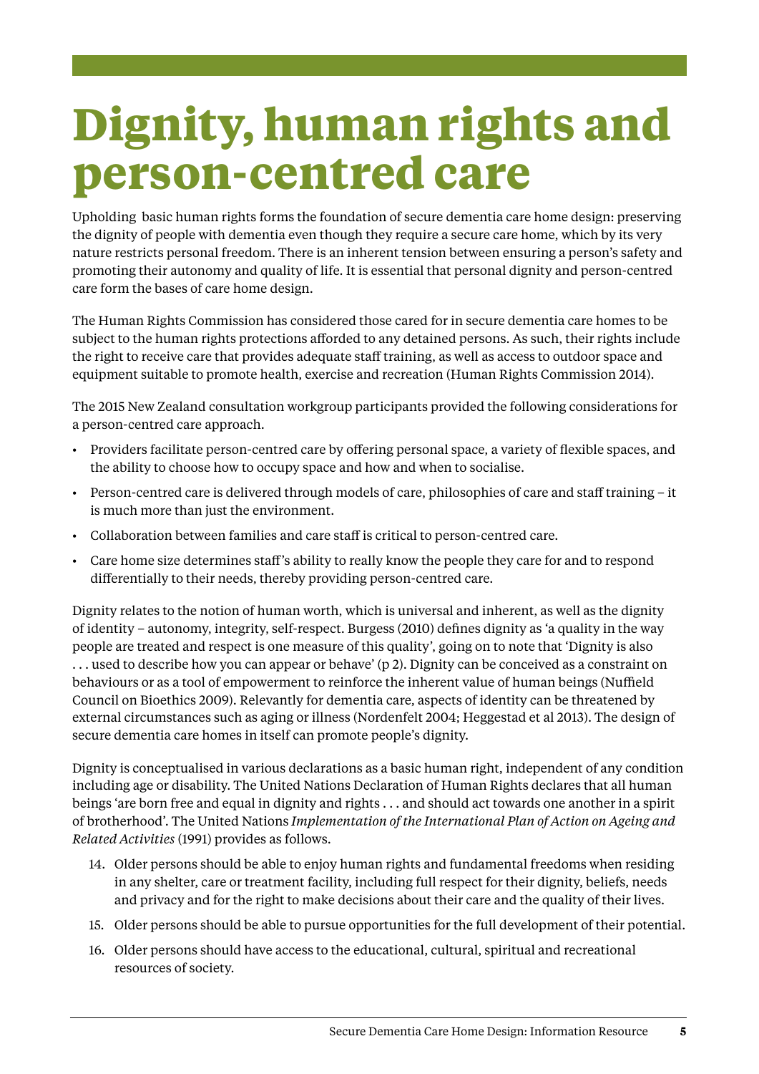# <span id="page-8-0"></span>**Dignity, human rights and person-centred care**

Upholding basic human rights forms the foundation of secure dementia care home design: preserving the dignity of people with dementia even though they require a secure care home, which by its very nature restricts personal freedom. There is an inherent tension between ensuring a person's safety and promoting their autonomy and quality of life. It is essential that personal dignity and person-centred care form the bases of care home design.

The Human Rights Commission has considered those cared for in secure dementia care homes to be subject to the human rights protections afforded to any detained persons. As such, their rights include the right to receive care that provides adequate staff training, as well as access to outdoor space and equipment suitable to promote health, exercise and recreation (Human Rights Commission 2014).

The 2015 New Zealand consultation workgroup participants provided the following considerations for a person-centred care approach.

- • Providers facilitate person-centred care by offering personal space, a variety of flexible spaces, and the ability to choose how to occupy space and how and when to socialise.
- • Person-centred care is delivered through models of care, philosophies of care and staff training it is much more than just the environment.
- • Collaboration between families and care staff is critical to person-centred care.
- • Care home size determines staff's ability to really know the people they care for and to respond differentially to their needs, thereby providing person-centred care.

Dignity relates to the notion of human worth, which is universal and inherent, as well as the dignity of identity – autonomy, integrity, self-respect. Burgess (2010) defines dignity as 'a quality in the way people are treated and respect is one measure of this quality', going on to note that 'Dignity is also . . . used to describe how you can appear or behave' (p 2). Dignity can be conceived as a constraint on behaviours or as a tool of empowerment to reinforce the inherent value of human beings (Nuffield Council on Bioethics 2009). Relevantly for dementia care, aspects of identity can be threatened by external circumstances such as aging or illness (Nordenfelt 2004; Heggestad et al 2013). The design of secure dementia care homes in itself can promote people's dignity.

Dignity is conceptualised in various declarations as a basic human right, independent of any condition including age or disability. The United Nations Declaration of Human Rights declares that all human beings 'are born free and equal in dignity and rights . . . and should act towards one another in a spirit of brotherhood'. The United Nations *Implementation of the International Plan of Action on Ageing and Related Activities* (1991) provides as follows.

- 14. Older persons should be able to enjoy human rights and fundamental freedoms when residing in any shelter, care or treatment facility, including full respect for their dignity, beliefs, needs and privacy and for the right to make decisions about their care and the quality of their lives.
- 15. Older persons should be able to pursue opportunities for the full development of their potential.
- 16. Older persons should have access to the educational, cultural, spiritual and recreational resources of society.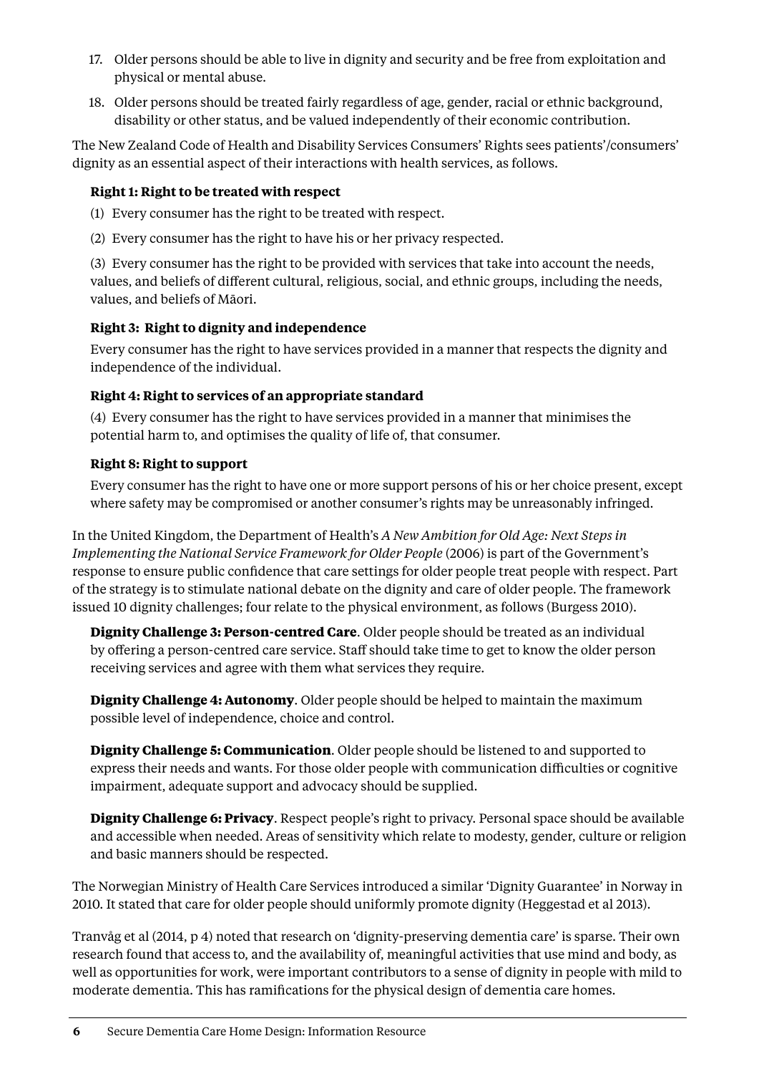- 17. Older persons should be able to live in dignity and security and be free from exploitation and physical or mental abuse.
- 18. Older persons should be treated fairly regardless of age, gender, racial or ethnic background, disability or other status, and be valued independently of their economic contribution.

The New Zealand Code of Health and Disability Services Consumers' Rights sees patients'/consumers' dignity as an essential aspect of their interactions with health services, as follows.

#### **Right 1: Right to be treated with respect**

- (1) Every consumer has the right to be treated with respect.
- (2) Every consumer has the right to have his or her privacy respected.

(3) Every consumer has the right to be provided with services that take into account the needs, values, and beliefs of different cultural, religious, social, and ethnic groups, including the needs, values, and beliefs of Māori.

#### **Right 3: Right to dignity and independence**

Every consumer has the right to have services provided in a manner that respects the dignity and independence of the individual.

#### **Right 4: Right to services of an appropriate standard**

(4) Every consumer has the right to have services provided in a manner that minimises the potential harm to, and optimises the quality of life of, that consumer.

#### **Right 8: Right to support**

Every consumer has the right to have one or more support persons of his or her choice present, except where safety may be compromised or another consumer's rights may be unreasonably infringed.

In the United Kingdom, the Department of Health's *A New Ambition for Old Age: Next Steps in Implementing the National Service Framework for Older People* (2006) is part of the Government's response to ensure public confidence that care settings for older people treat people with respect. Part of the strategy is to stimulate national debate on the dignity and care of older people. The framework issued 10 dignity challenges; four relate to the physical environment, as follows (Burgess 2010).

**Dignity Challenge 3: Person-centred Care**. Older people should be treated as an individual by offering a person-centred care service. Staff should take time to get to know the older person receiving services and agree with them what services they require.

**Dignity Challenge 4: Autonomy**. Older people should be helped to maintain the maximum possible level of independence, choice and control.

**Dignity Challenge 5: Communication**. Older people should be listened to and supported to express their needs and wants. For those older people with communication difficulties or cognitive impairment, adequate support and advocacy should be supplied.

**Dignity Challenge 6: Privacy**. Respect people's right to privacy. Personal space should be available and accessible when needed. Areas of sensitivity which relate to modesty, gender, culture or religion and basic manners should be respected.

The Norwegian Ministry of Health Care Services introduced a similar 'Dignity Guarantee' in Norway in 2010. It stated that care for older people should uniformly promote dignity (Heggestad et al 2013).

Tranvåg et al (2014, p 4) noted that research on 'dignity-preserving dementia care' is sparse. Their own research found that access to, and the availability of, meaningful activities that use mind and body, as well as opportunities for work, were important contributors to a sense of dignity in people with mild to moderate dementia. This has ramifications for the physical design of dementia care homes.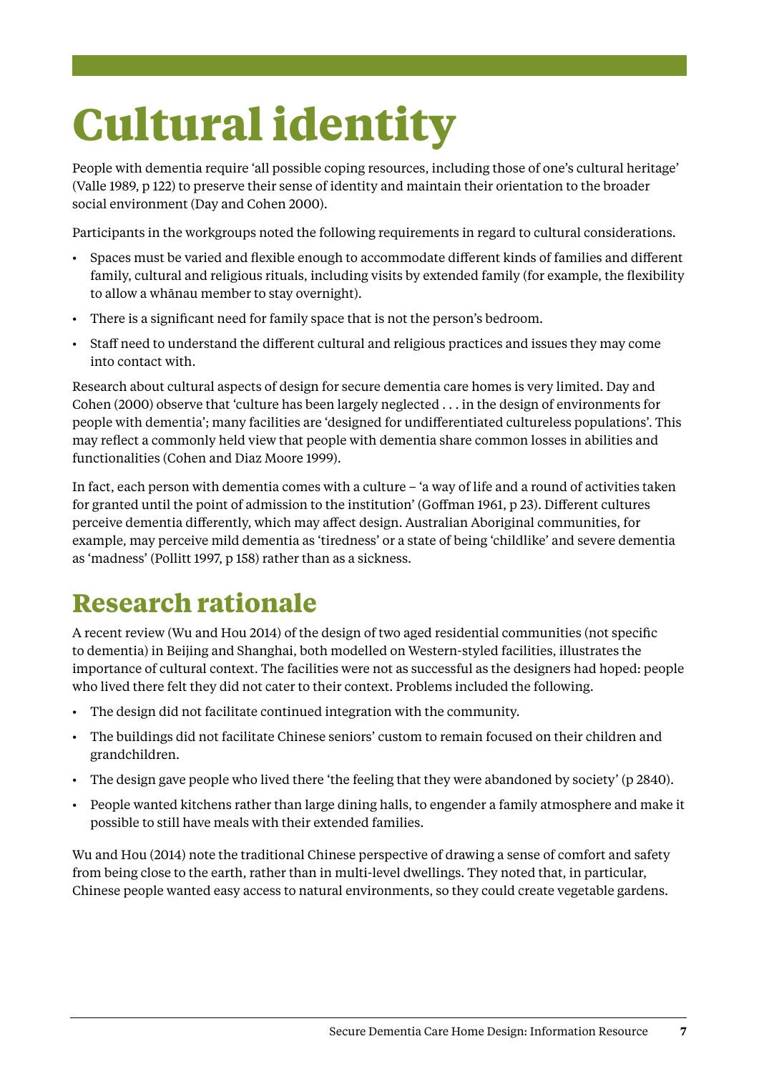# <span id="page-10-0"></span>**Cultural identity**

People with dementia require 'all possible coping resources, including those of one's cultural heritage' (Valle 1989, p 122) to preserve their sense of identity and maintain their orientation to the broader social environment (Day and Cohen 2000).

Participants in the workgroups noted the following requirements in regard to cultural considerations.

- Spaces must be varied and flexible enough to accommodate different kinds of families and different family, cultural and religious rituals, including visits by extended family (for example, the flexibility to allow a whānau member to stay overnight).
- • There is a significant need for family space that is not the person's bedroom.
- Staff need to understand the different cultural and religious practices and issues they may come into contact with.

Research about cultural aspects of design for secure dementia care homes is very limited. Day and Cohen (2000) observe that 'culture has been largely neglected . . . in the design of environments for people with dementia'; many facilities are 'designed for undifferentiated cultureless populations'. This may reflect a commonly held view that people with dementia share common losses in abilities and functionalities (Cohen and Diaz Moore 1999).

In fact, each person with dementia comes with a culture – 'a way of life and a round of activities taken for granted until the point of admission to the institution' (Goffman 1961, p 23). Different cultures perceive dementia differently, which may affect design. Australian Aboriginal communities, for example, may perceive mild dementia as 'tiredness' or a state of being 'childlike' and severe dementia as 'madness' (Pollitt 1997, p 158) rather than as a sickness.

## **Research rationale**

A recent review (Wu and Hou 2014) of the design of two aged residential communities (not specific to dementia) in Beijing and Shanghai, both modelled on Western-styled facilities, illustrates the importance of cultural context. The facilities were not as successful as the designers had hoped: people who lived there felt they did not cater to their context. Problems included the following.

- • The design did not facilitate continued integration with the community.
- • The buildings did not facilitate Chinese seniors' custom to remain focused on their children and grandchildren.
- The design gave people who lived there 'the feeling that they were abandoned by society' (p 2840).
- • People wanted kitchens rather than large dining halls, to engender a family atmosphere and make it possible to still have meals with their extended families.

Wu and Hou (2014) note the traditional Chinese perspective of drawing a sense of comfort and safety from being close to the earth, rather than in multi-level dwellings. They noted that, in particular, Chinese people wanted easy access to natural environments, so they could create vegetable gardens.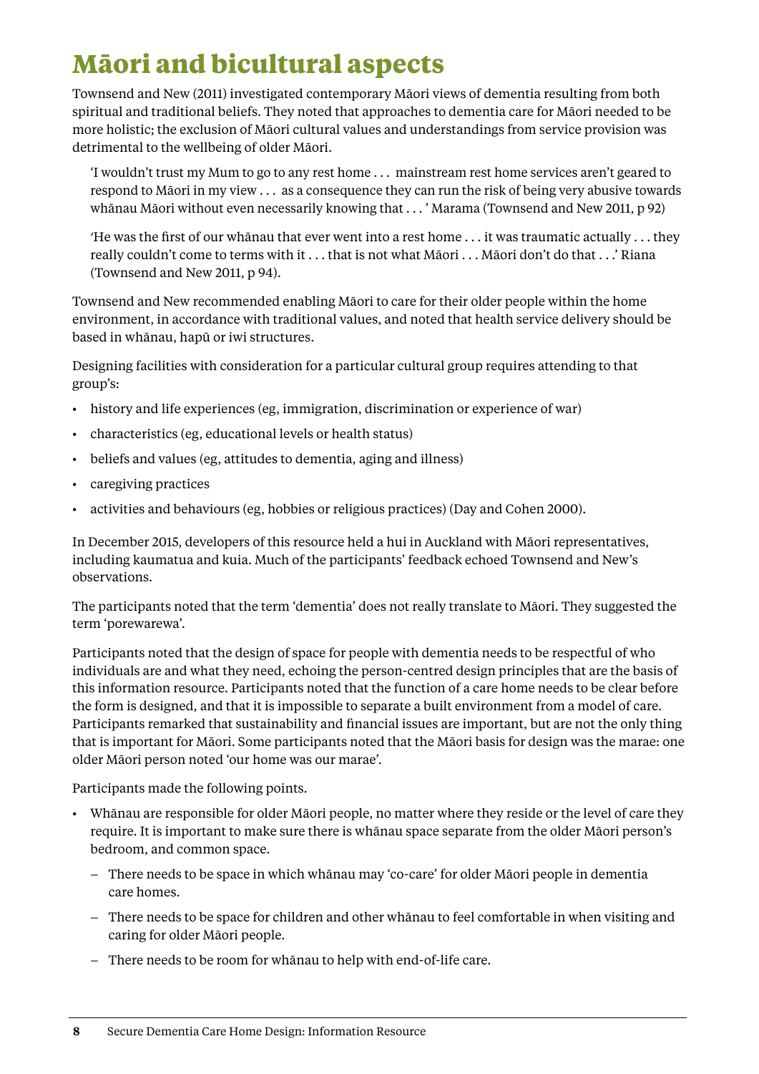## <span id="page-11-0"></span>**Māori and bicultural aspects**

Townsend and New (2011) investigated contemporary Māori views of dementia resulting from both spiritual and traditional beliefs. They noted that approaches to dementia care for Māori needed to be more holistic; the exclusion of Māori cultural values and understandings from service provision was detrimental to the wellbeing of older Māori.

'I wouldn't trust my Mum to go to any rest home . . . mainstream rest home services aren't geared to respond to Māori in my view . . . as a consequence they can run the risk of being very abusive towards whānau Māori without even necessarily knowing that . . . ' Marama (Townsend and New 2011, p 92)

'He was the first of our whānau that ever went into a rest home . . . it was traumatic actually . . . they really couldn't come to terms with it . . . that is not what Māori . . . Māori don't do that . . .' Riana (Townsend and New 2011, p 94).

Townsend and New recommended enabling Māori to care for their older people within the home environment, in accordance with traditional values, and noted that health service delivery should be based in whānau, hapū or iwi structures.

Designing facilities with consideration for a particular cultural group requires attending to that group's:

- • history and life experiences (eg, immigration, discrimination or experience of war)
- • characteristics (eg, educational levels or health status)
- • beliefs and values (eg, attitudes to dementia, aging and illness)
- • caregiving practices
- • activities and behaviours (eg, hobbies or religious practices) (Day and Cohen 2000).

In December 2015, developers of this resource held a hui in Auckland with Māori representatives, including kaumatua and kuia. Much of the participants' feedback echoed Townsend and New's observations.

The participants noted that the term 'dementia' does not really translate to Māori. They suggested the term 'porewarewa'.

Participants noted that the design of space for people with dementia needs to be respectful of who individuals are and what they need, echoing the person-centred design principles that are the basis of this information resource. Participants noted that the function of a care home needs to be clear before the form is designed, and that it is impossible to separate a built environment from a model of care. Participants remarked that sustainability and financial issues are important, but are not the only thing that is important for Māori. Some participants noted that the Māori basis for design was the marae: one older Māori person noted 'our home was our marae'.

Participants made the following points.

- • Whānau are responsible for older Māori people, no matter where they reside or the level of care they require. It is important to make sure there is whānau space separate from the older Māori person's bedroom, and common space.
	- There needs to be space in which whānau may 'co-care' for older Māori people in dementia care homes.
	- There needs to be space for children and other whānau to feel comfortable in when visiting and caring for older Māori people.
	- There needs to be room for whānau to help with end-of-life care.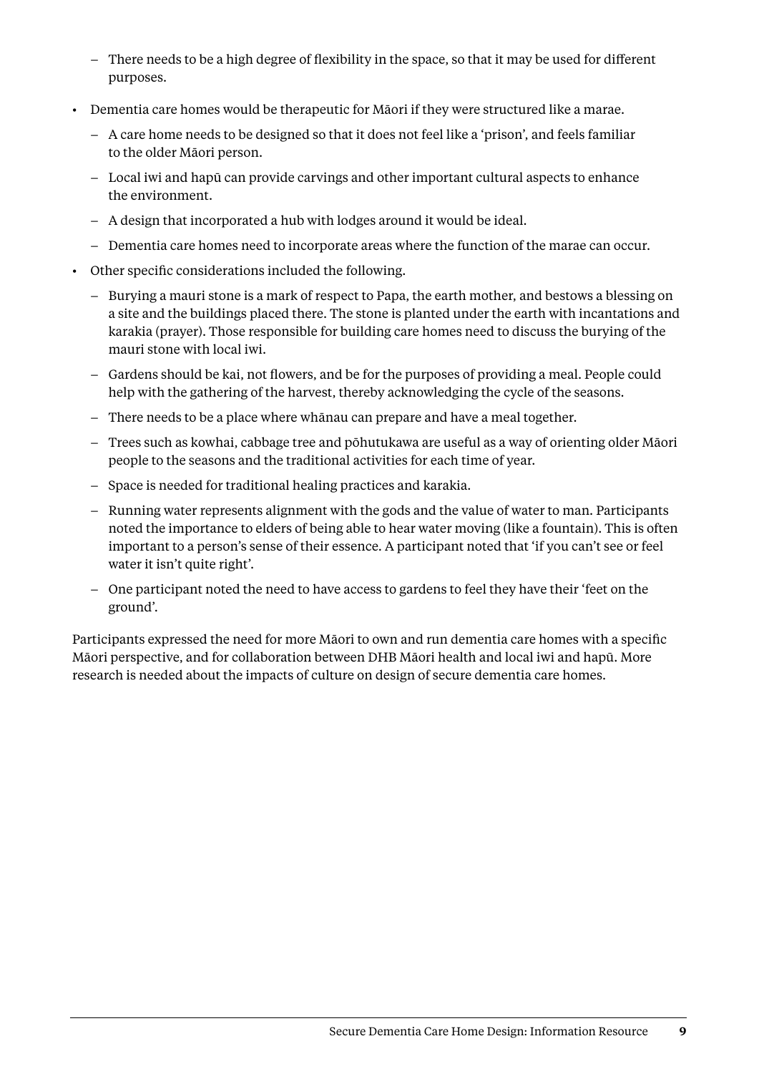- There needs to be a high degree of flexibility in the space, so that it may be used for different purposes.
- • Dementia care homes would be therapeutic for Māori if they were structured like a marae.
	- A care home needs to be designed so that it does not feel like a 'prison', and feels familiar to the older Māori person.
	- Local iwi and hapū can provide carvings and other important cultural aspects to enhance the environment.
	- A design that incorporated a hub with lodges around it would be ideal.
	- Dementia care homes need to incorporate areas where the function of the marae can occur.
- • Other specific considerations included the following.
	- Burying a mauri stone is a mark of respect to Papa, the earth mother, and bestows a blessing on a site and the buildings placed there. The stone is planted under the earth with incantations and karakia (prayer). Those responsible for building care homes need to discuss the burying of the mauri stone with local iwi.
	- Gardens should be kai, not flowers, and be for the purposes of providing a meal. People could help with the gathering of the harvest, thereby acknowledging the cycle of the seasons.
	- There needs to be a place where whānau can prepare and have a meal together.
	- Trees such as kowhai, cabbage tree and pōhutukawa are useful as a way of orienting older Māori people to the seasons and the traditional activities for each time of year.
	- Space is needed for traditional healing practices and karakia.
	- Running water represents alignment with the gods and the value of water to man. Participants noted the importance to elders of being able to hear water moving (like a fountain). This is often important to a person's sense of their essence. A participant noted that 'if you can't see or feel water it isn't quite right'.
	- One participant noted the need to have access to gardens to feel they have their 'feet on the ground'.

Participants expressed the need for more Māori to own and run dementia care homes with a specific Māori perspective, and for collaboration between DHB Māori health and local iwi and hapū. More research is needed about the impacts of culture on design of secure dementia care homes.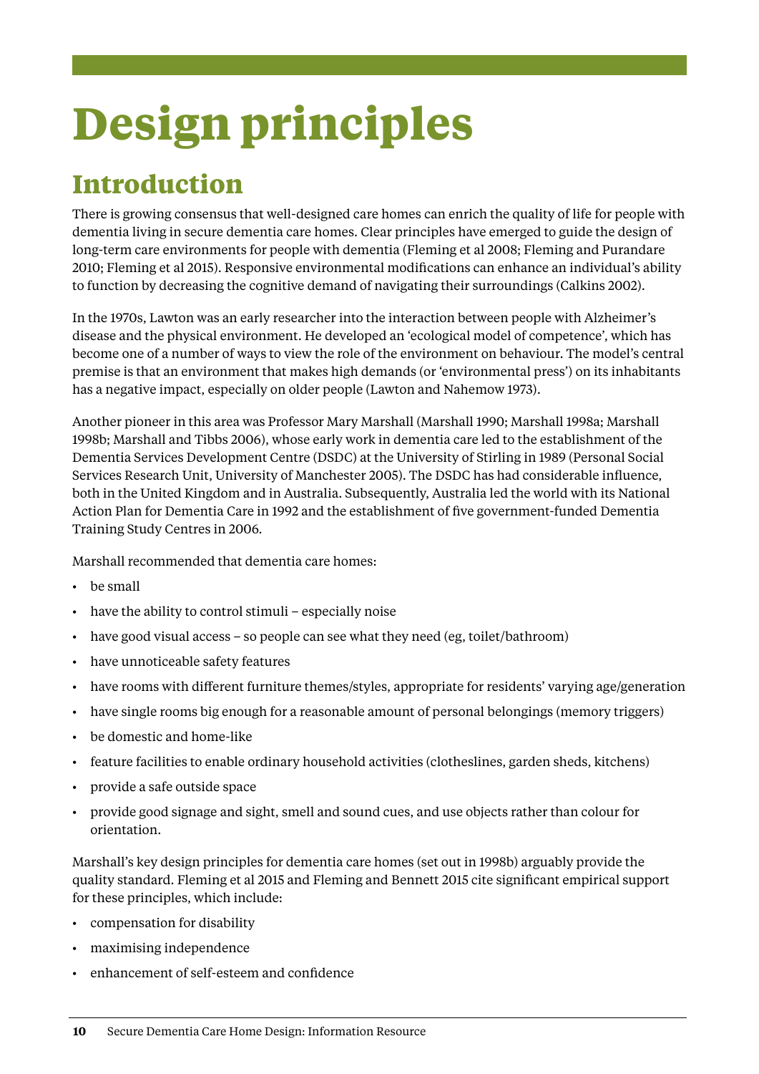# <span id="page-13-0"></span>**Design principles**

## **Introduction**

There is growing consensus that well-designed care homes can enrich the quality of life for people with dementia living in secure dementia care homes. Clear principles have emerged to guide the design of long-term care environments for people with dementia (Fleming et al 2008; Fleming and Purandare 2010; Fleming et al 2015). Responsive environmental modifications can enhance an individual's ability to function by decreasing the cognitive demand of navigating their surroundings (Calkins 2002).

In the 1970s, Lawton was an early researcher into the interaction between people with Alzheimer's disease and the physical environment. He developed an 'ecological model of competence', which has become one of a number of ways to view the role of the environment on behaviour. The model's central premise is that an environment that makes high demands (or 'environmental press') on its inhabitants has a negative impact, especially on older people (Lawton and Nahemow 1973).

Another pioneer in this area was Professor Mary Marshall (Marshall 1990; Marshall 1998a; Marshall 1998b; Marshall and Tibbs 2006), whose early work in dementia care led to the establishment of the Dementia Services Development Centre (DSDC) at the University of Stirling in 1989 (Personal Social Services Research Unit, University of Manchester 2005). The DSDC has had considerable influence, both in the United Kingdom and in Australia. Subsequently, Australia led the world with its National Action Plan for Dementia Care in 1992 and the establishment of five government-funded Dementia Training Study Centres in 2006.

Marshall recommended that dementia care homes:

- • be small
- have the ability to control stimuli especially noise
- have good visual access so people can see what they need (eg, toilet/bathroom)
- • have unnoticeable safety features
- have rooms with different furniture themes/styles, appropriate for residents' varying age/generation
- have single rooms big enough for a reasonable amount of personal belongings (memory triggers)
- be domestic and home-like
- • feature facilities to enable ordinary household activities (clotheslines, garden sheds, kitchens)
- provide a safe outside space
- provide good signage and sight, smell and sound cues, and use objects rather than colour for orientation.

Marshall's key design principles for dementia care homes (set out in 1998b) arguably provide the quality standard. Fleming et al 2015 and Fleming and Bennett 2015 cite significant empirical support for these principles, which include:

- compensation for disability
- maximising independence
- enhancement of self-esteem and confidence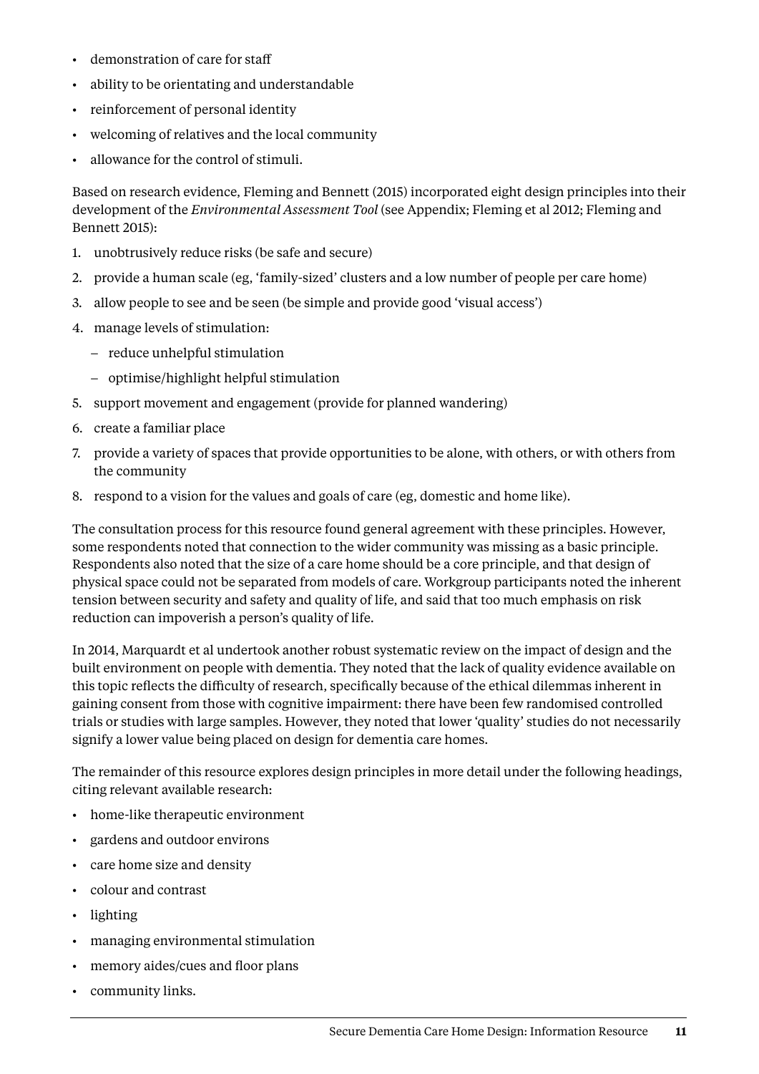- • demonstration of care for staff
- • ability to be orientating and understandable
- • reinforcement of personal identity
- welcoming of relatives and the local community
- • allowance for the control of stimuli.

Based on research evidence, Fleming and Bennett (2015) incorporated eight design principles into their development of the *Environmental Assessment Tool* (see Appendix; Fleming et al 2012; Fleming and Bennett 2015):

- 1. unobtrusively reduce risks (be safe and secure)
- 2. provide a human scale (eg, 'family-sized' clusters and a low number of people per care home)
- 3. allow people to see and be seen (be simple and provide good 'visual access')
- 4. manage levels of stimulation:
	- reduce unhelpful stimulation
	- optimise/highlight helpful stimulation
- 5. support movement and engagement (provide for planned wandering)
- 6. create a familiar place
- 7. provide a variety of spaces that provide opportunities to be alone, with others, or with others from the community
- 8. respond to a vision for the values and goals of care (eg, domestic and home like).

The consultation process for this resource found general agreement with these principles. However, some respondents noted that connection to the wider community was missing as a basic principle. Respondents also noted that the size of a care home should be a core principle, and that design of physical space could not be separated from models of care. Workgroup participants noted the inherent tension between security and safety and quality of life, and said that too much emphasis on risk reduction can impoverish a person's quality of life.

In 2014, Marquardt et al undertook another robust systematic review on the impact of design and the built environment on people with dementia. They noted that the lack of quality evidence available on this topic reflects the difficulty of research, specifically because of the ethical dilemmas inherent in gaining consent from those with cognitive impairment: there have been few randomised controlled trials or studies with large samples. However, they noted that lower 'quality' studies do not necessarily signify a lower value being placed on design for dementia care homes.

The remainder of this resource explores design principles in more detail under the following headings, citing relevant available research:

- • home-like therapeutic environment
- gardens and outdoor environs
- care home size and density
- • colour and contrast
- lighting
- • managing environmental stimulation
- memory aides/cues and floor plans
- • community links.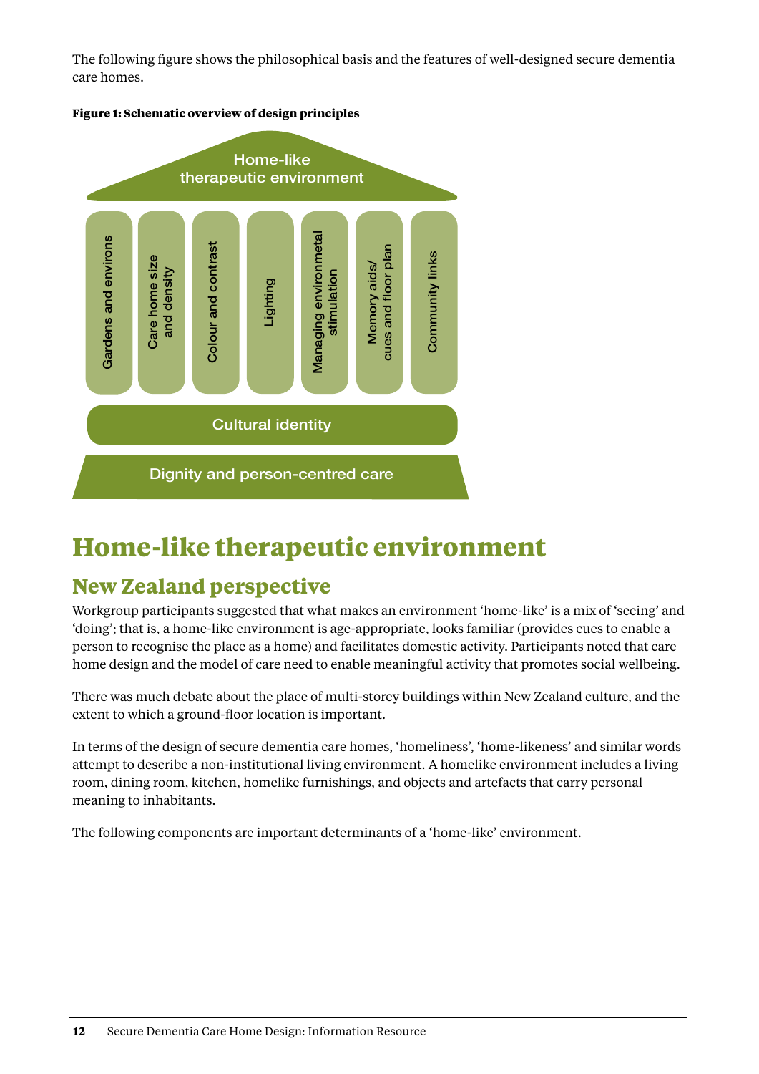<span id="page-15-0"></span>The following figure shows the philosophical basis and the features of well-designed secure dementia care homes.





## **Home-like therapeutic environment**

#### **New Zealand perspective**

Workgroup participants suggested that what makes an environment 'home-like' is a mix of 'seeing' and 'doing'; that is, a home-like environment is age-appropriate, looks familiar (provides cues to enable a person to recognise the place as a home) and facilitates domestic activity. Participants noted that care home design and the model of care need to enable meaningful activity that promotes social wellbeing.

There was much debate about the place of multi-storey buildings within New Zealand culture, and the extent to which a ground-floor location is important.

In terms of the design of secure dementia care homes, 'homeliness', 'home-likeness' and similar words attempt to describe a non-institutional living environment. A homelike environment includes a living room, dining room, kitchen, homelike furnishings, and objects and artefacts that carry personal meaning to inhabitants.

The following components are important determinants of a 'home-like' environment.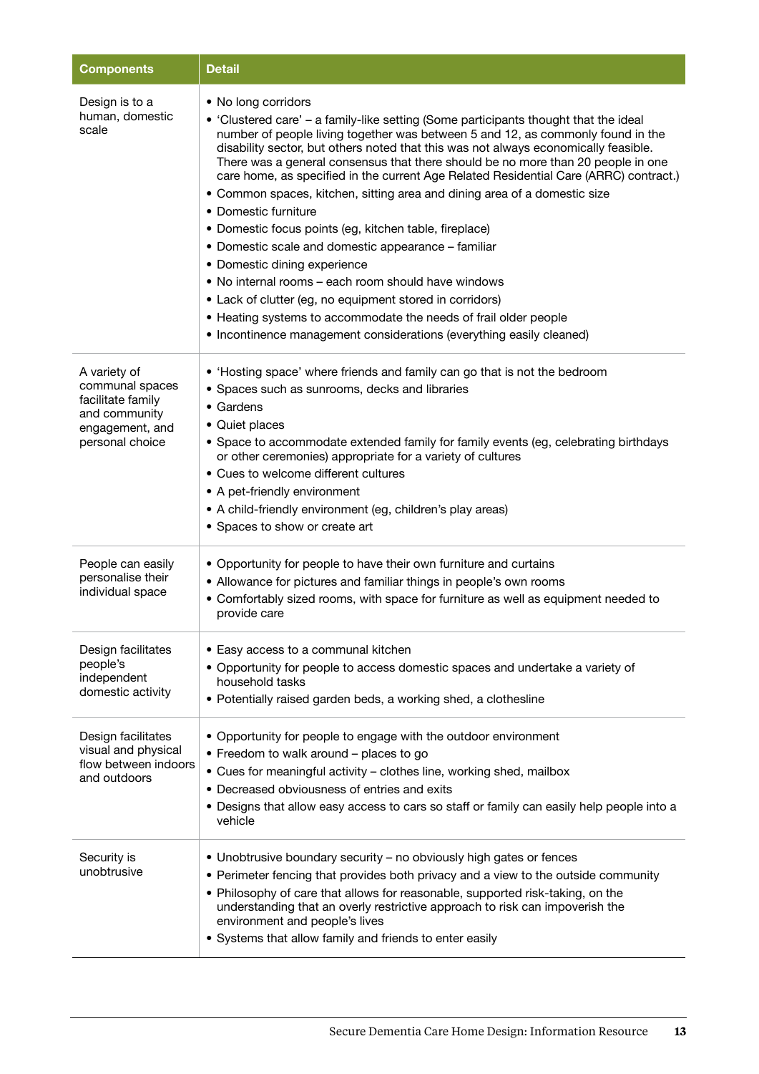| <b>Components</b>                                                                                           | <b>Detail</b>                                                                                                                                                                                                                                                                                                                                                                                                                                                                                                                                                                                                                                                                                                                                                                                                                                                                                                                                                                           |
|-------------------------------------------------------------------------------------------------------------|-----------------------------------------------------------------------------------------------------------------------------------------------------------------------------------------------------------------------------------------------------------------------------------------------------------------------------------------------------------------------------------------------------------------------------------------------------------------------------------------------------------------------------------------------------------------------------------------------------------------------------------------------------------------------------------------------------------------------------------------------------------------------------------------------------------------------------------------------------------------------------------------------------------------------------------------------------------------------------------------|
| Design is to a<br>human, domestic<br>scale                                                                  | • No long corridors<br>• 'Clustered care' – a family-like setting (Some participants thought that the ideal<br>number of people living together was between 5 and 12, as commonly found in the<br>disability sector, but others noted that this was not always economically feasible.<br>There was a general consensus that there should be no more than 20 people in one<br>care home, as specified in the current Age Related Residential Care (ARRC) contract.)<br>• Common spaces, kitchen, sitting area and dining area of a domestic size<br>• Domestic furniture<br>• Domestic focus points (eg, kitchen table, fireplace)<br>• Domestic scale and domestic appearance - familiar<br>• Domestic dining experience<br>• No internal rooms – each room should have windows<br>• Lack of clutter (eg, no equipment stored in corridors)<br>• Heating systems to accommodate the needs of frail older people<br>• Incontinence management considerations (everything easily cleaned) |
| A variety of<br>communal spaces<br>facilitate family<br>and community<br>engagement, and<br>personal choice | • 'Hosting space' where friends and family can go that is not the bedroom<br>• Spaces such as sunrooms, decks and libraries<br>$\bullet$ Gardens<br>• Quiet places<br>• Space to accommodate extended family for family events (eg, celebrating birthdays<br>or other ceremonies) appropriate for a variety of cultures<br>• Cues to welcome different cultures<br>• A pet-friendly environment<br>• A child-friendly environment (eg, children's play areas)<br>• Spaces to show or create art                                                                                                                                                                                                                                                                                                                                                                                                                                                                                         |
| People can easily<br>personalise their<br>individual space                                                  | • Opportunity for people to have their own furniture and curtains<br>• Allowance for pictures and familiar things in people's own rooms<br>• Comfortably sized rooms, with space for furniture as well as equipment needed to<br>provide care                                                                                                                                                                                                                                                                                                                                                                                                                                                                                                                                                                                                                                                                                                                                           |
| Design facilitates<br>people's<br>independent<br>domestic activity                                          | • Easy access to a communal kitchen<br>• Opportunity for people to access domestic spaces and undertake a variety of<br>household tasks<br>• Potentially raised garden beds, a working shed, a clothesline                                                                                                                                                                                                                                                                                                                                                                                                                                                                                                                                                                                                                                                                                                                                                                              |
| Design facilitates<br>visual and physical<br>flow between indoors<br>and outdoors                           | • Opportunity for people to engage with the outdoor environment<br>• Freedom to walk around - places to go<br>• Cues for meaningful activity - clothes line, working shed, mailbox<br>• Decreased obviousness of entries and exits<br>• Designs that allow easy access to cars so staff or family can easily help people into a<br>vehicle                                                                                                                                                                                                                                                                                                                                                                                                                                                                                                                                                                                                                                              |
| Security is<br>unobtrusive                                                                                  | • Unobtrusive boundary security - no obviously high gates or fences<br>• Perimeter fencing that provides both privacy and a view to the outside community<br>• Philosophy of care that allows for reasonable, supported risk-taking, on the<br>understanding that an overly restrictive approach to risk can impoverish the<br>environment and people's lives<br>• Systems that allow family and friends to enter easily                                                                                                                                                                                                                                                                                                                                                                                                                                                                                                                                                                |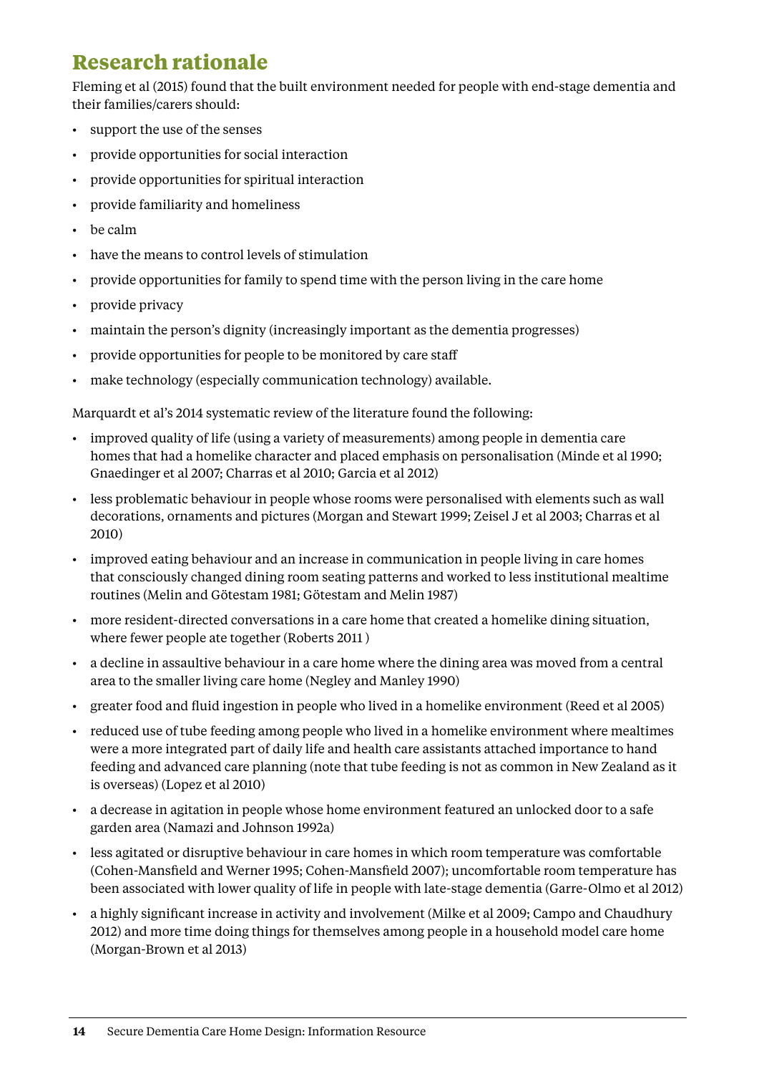### **Research rationale**

Fleming et al (2015) found that the built environment needed for people with end-stage dementia and their families/carers should:

- support the use of the senses
- provide opportunities for social interaction
- • provide opportunities for spiritual interaction
- • provide familiarity and homeliness
- • be calm
- • have the means to control levels of stimulation
- provide opportunities for family to spend time with the person living in the care home
- provide privacy
- • maintain the person's dignity (increasingly important as the dementia progresses)
- provide opportunities for people to be monitored by care staff
- make technology (especially communication technology) available.

Marquardt et al's 2014 systematic review of the literature found the following:

- • improved quality of life (using a variety of measurements) among people in dementia care homes that had a homelike character and placed emphasis on personalisation (Minde et al 1990; Gnaedinger et al 2007; Charras et al 2010; Garcia et al 2012)
- less problematic behaviour in people whose rooms were personalised with elements such as wall decorations, ornaments and pictures (Morgan and Stewart 1999; Zeisel J et al 2003; Charras et al 2010)
- improved eating behaviour and an increase in communication in people living in care homes that consciously changed dining room seating patterns and worked to less institutional mealtime routines (Melin and Götestam 1981; Götestam and Melin 1987)
- • more resident-directed conversations in a care home that created a homelike dining situation, where fewer people ate together (Roberts 2011 )
- • a decline in assaultive behaviour in a care home where the dining area was moved from a central area to the smaller living care home (Negley and Manley 1990)
- • greater food and fluid ingestion in people who lived in a homelike environment (Reed et al 2005)
- • reduced use of tube feeding among people who lived in a homelike environment where mealtimes were a more integrated part of daily life and health care assistants attached importance to hand feeding and advanced care planning (note that tube feeding is not as common in New Zealand as it is overseas) (Lopez et al 2010)
- • a decrease in agitation in people whose home environment featured an unlocked door to a safe garden area (Namazi and Johnson 1992a)
- • less agitated or disruptive behaviour in care homes in which room temperature was comfortable (Cohen-Mansfield and Werner 1995; Cohen-Mansfield 2007); uncomfortable room temperature has been associated with lower quality of life in people with late-stage dementia (Garre-Olmo et al 2012)
- a highly significant increase in activity and involvement (Milke et al 2009; Campo and Chaudhury 2012) and more time doing things for themselves among people in a household model care home (Morgan-Brown et al 2013)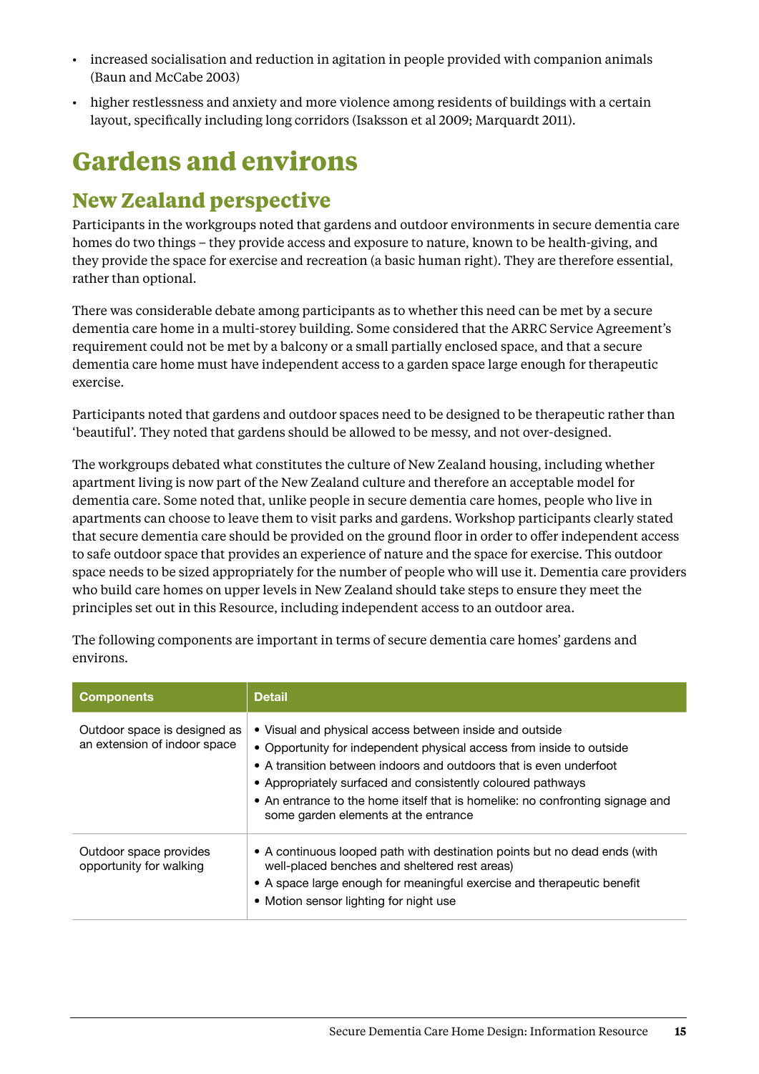- <span id="page-18-0"></span>• increased socialisation and reduction in agitation in people provided with companion animals (Baun and McCabe 2003)
- • higher restlessness and anxiety and more violence among residents of buildings with a certain layout, specifically including long corridors (Isaksson et al 2009; Marquardt 2011).

## **Gardens and environs**

#### **New Zealand perspective**

Participants in the workgroups noted that gardens and outdoor environments in secure dementia care homes do two things – they provide access and exposure to nature, known to be health-giving, and they provide the space for exercise and recreation (a basic human right). They are therefore essential, rather than optional.

There was considerable debate among participants as to whether this need can be met by a secure dementia care home in a multi-storey building. Some considered that the ARRC Service Agreement's requirement could not be met by a balcony or a small partially enclosed space, and that a secure dementia care home must have independent access to a garden space large enough for therapeutic exercise.

Participants noted that gardens and outdoor spaces need to be designed to be therapeutic rather than 'beautiful'. They noted that gardens should be allowed to be messy, and not over-designed.

The workgroups debated what constitutes the culture of New Zealand housing, including whether apartment living is now part of the New Zealand culture and therefore an acceptable model for dementia care. Some noted that, unlike people in secure dementia care homes, people who live in apartments can choose to leave them to visit parks and gardens. Workshop participants clearly stated that secure dementia care should be provided on the ground floor in order to offer independent access to safe outdoor space that provides an experience of nature and the space for exercise. This outdoor space needs to be sized appropriately for the number of people who will use it. Dementia care providers who build care homes on upper levels in New Zealand should take steps to ensure they meet the principles set out in this Resource, including independent access to an outdoor area.

| <b>Components</b>                                            | <b>Detail</b>                                                                                                                                                                                                                                                                                                                                                                                 |
|--------------------------------------------------------------|-----------------------------------------------------------------------------------------------------------------------------------------------------------------------------------------------------------------------------------------------------------------------------------------------------------------------------------------------------------------------------------------------|
| Outdoor space is designed as<br>an extension of indoor space | • Visual and physical access between inside and outside<br>• Opportunity for independent physical access from inside to outside<br>• A transition between indoors and outdoors that is even underfoot<br>• Appropriately surfaced and consistently coloured pathways<br>• An entrance to the home itself that is homelike: no confronting signage and<br>some garden elements at the entrance |
| Outdoor space provides<br>opportunity for walking            | • A continuous looped path with destination points but no dead ends (with<br>well-placed benches and sheltered rest areas)<br>• A space large enough for meaningful exercise and therapeutic benefit<br>• Motion sensor lighting for night use                                                                                                                                                |

The following components are important in terms of secure dementia care homes' gardens and environs.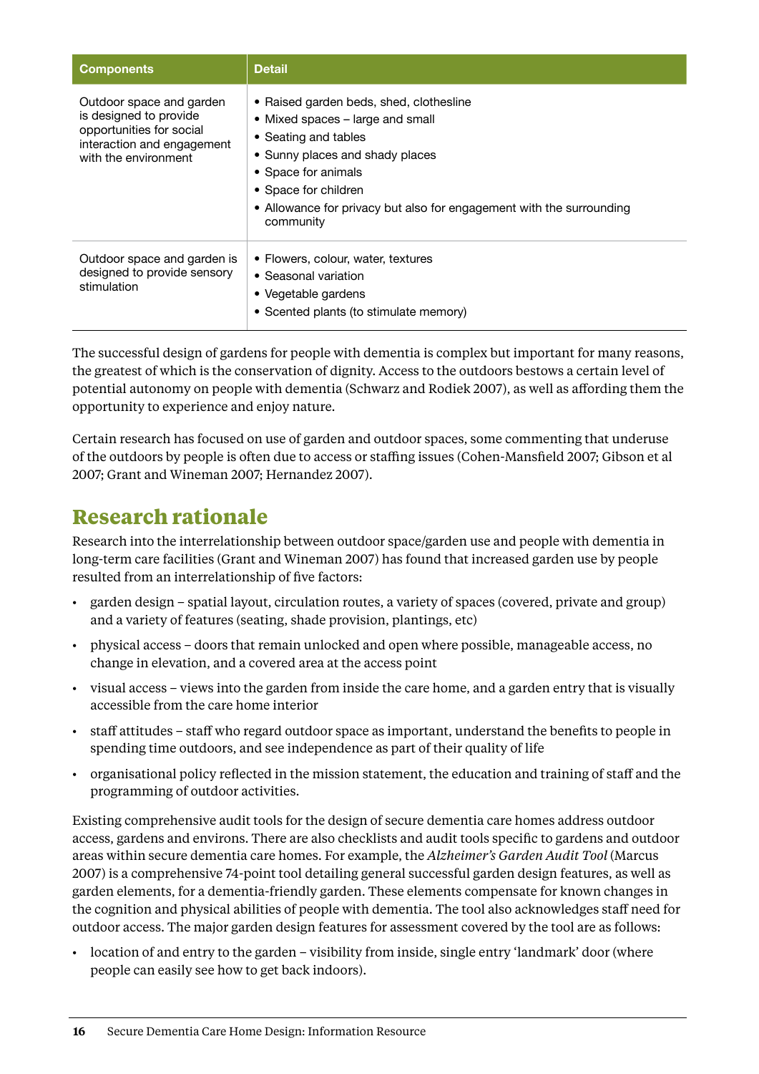| <b>Components</b>                                                                                                                    | <b>Detail</b>                                                                                                                                                                                                                                                              |
|--------------------------------------------------------------------------------------------------------------------------------------|----------------------------------------------------------------------------------------------------------------------------------------------------------------------------------------------------------------------------------------------------------------------------|
| Outdoor space and garden<br>is designed to provide<br>opportunities for social<br>interaction and engagement<br>with the environment | • Raised garden beds, shed, clothesline<br>• Mixed spaces – large and small<br>• Seating and tables<br>• Sunny places and shady places<br>• Space for animals<br>• Space for children<br>• Allowance for privacy but also for engagement with the surrounding<br>community |
| Outdoor space and garden is<br>designed to provide sensory<br>stimulation                                                            | • Flowers, colour, water, textures<br>• Seasonal variation<br>• Vegetable gardens<br>• Scented plants (to stimulate memory)                                                                                                                                                |

The successful design of gardens for people with dementia is complex but important for many reasons, the greatest of which is the conservation of dignity. Access to the outdoors bestows a certain level of potential autonomy on people with dementia (Schwarz and Rodiek 2007), as well as affording them the opportunity to experience and enjoy nature.

Certain research has focused on use of garden and outdoor spaces, some commenting that underuse of the outdoors by people is often due to access or staffing issues (Cohen-Mansfield 2007; Gibson et al 2007; Grant and Wineman 2007; Hernandez 2007).

#### **Research rationale**

Research into the interrelationship between outdoor space/garden use and people with dementia in long-term care facilities (Grant and Wineman 2007) has found that increased garden use by people resulted from an interrelationship of five factors:

- garden design spatial layout, circulation routes, a variety of spaces (covered, private and group) and a variety of features (seating, shade provision, plantings, etc)
- • physical access doors that remain unlocked and open where possible, manageable access, no change in elevation, and a covered area at the access point
- • visual access views into the garden from inside the care home, and a garden entry that is visually accessible from the care home interior
- • staff attitudes staff who regard outdoor space as important, understand the benefits to people in spending time outdoors, and see independence as part of their quality of life
- • organisational policy reflected in the mission statement, the education and training of staff and the programming of outdoor activities.

Existing comprehensive audit tools for the design of secure dementia care homes address outdoor access, gardens and environs. There are also checklists and audit tools specific to gardens and outdoor areas within secure dementia care homes. For example, the *Alzheimer's Garden Audit Tool* (Marcus 2007) is a comprehensive 74-point tool detailing general successful garden design features, as well as garden elements, for a dementia-friendly garden. These elements compensate for known changes in the cognition and physical abilities of people with dementia. The tool also acknowledges staff need for outdoor access. The major garden design features for assessment covered by the tool are as follows:

• location of and entry to the garden – visibility from inside, single entry 'landmark' door (where people can easily see how to get back indoors).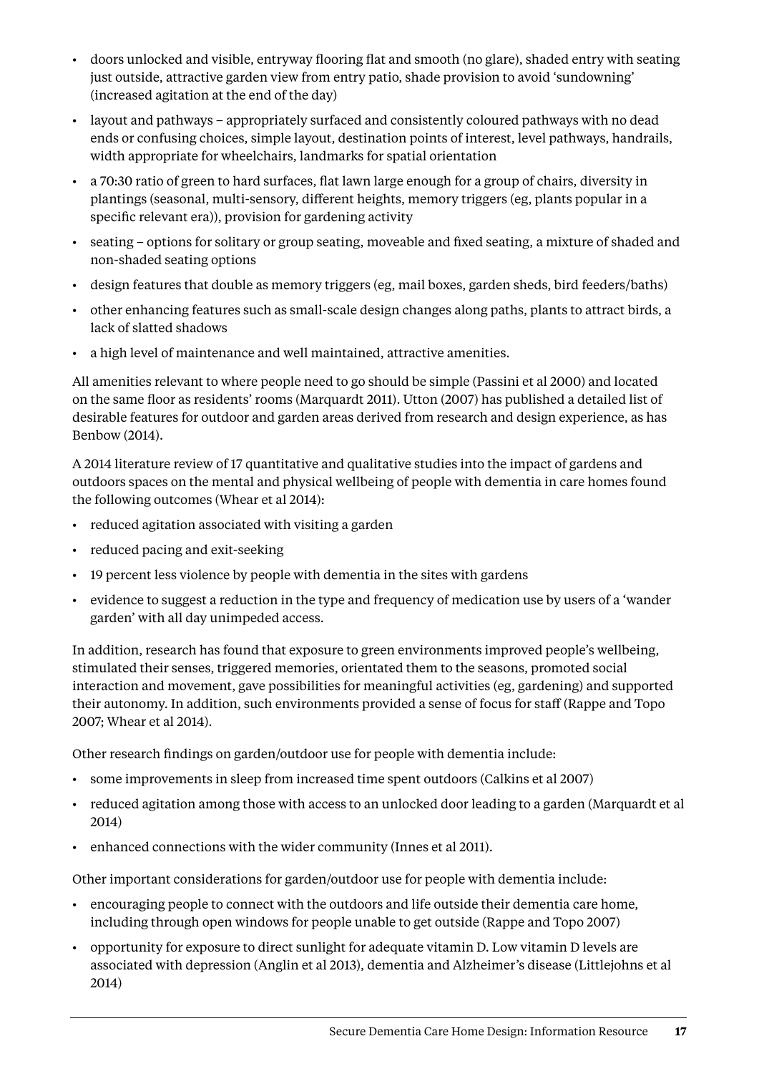- • doors unlocked and visible, entryway flooring flat and smooth (no glare), shaded entry with seating just outside, attractive garden view from entry patio, shade provision to avoid 'sundowning' (increased agitation at the end of the day)
- layout and pathways appropriately surfaced and consistently coloured pathways with no dead ends or confusing choices, simple layout, destination points of interest, level pathways, handrails, width appropriate for wheelchairs, landmarks for spatial orientation
- • a 70:30 ratio of green to hard surfaces, flat lawn large enough for a group of chairs, diversity in plantings (seasonal, multi-sensory, different heights, memory triggers (eg, plants popular in a specific relevant era)), provision for gardening activity
- • seating options for solitary or group seating, moveable and fixed seating, a mixture of shaded and non-shaded seating options
- • design features that double as memory triggers (eg, mail boxes, garden sheds, bird feeders/baths)
- • other enhancing features such as small-scale design changes along paths, plants to attract birds, a lack of slatted shadows
- • a high level of maintenance and well maintained, attractive amenities.

All amenities relevant to where people need to go should be simple (Passini et al 2000) and located on the same floor as residents' rooms (Marquardt 2011). Utton (2007) has published a detailed list of desirable features for outdoor and garden areas derived from research and design experience, as has Benbow (2014).

A 2014 literature review of 17 quantitative and qualitative studies into the impact of gardens and outdoors spaces on the mental and physical wellbeing of people with dementia in care homes found the following outcomes (Whear et al 2014):

- • reduced agitation associated with visiting a garden
- • reduced pacing and exit-seeking
- • 19 percent less violence by people with dementia in the sites with gardens
- • evidence to suggest a reduction in the type and frequency of medication use by users of a 'wander garden' with all day unimpeded access.

In addition, research has found that exposure to green environments improved people's wellbeing, stimulated their senses, triggered memories, orientated them to the seasons, promoted social interaction and movement, gave possibilities for meaningful activities (eg, gardening) and supported their autonomy. In addition, such environments provided a sense of focus for staff (Rappe and Topo 2007; Whear et al 2014).

Other research findings on garden/outdoor use for people with dementia include:

- • some improvements in sleep from increased time spent outdoors (Calkins et al 2007)
- • reduced agitation among those with access to an unlocked door leading to a garden (Marquardt et al 2014)
- enhanced connections with the wider community (Innes et al 2011).

Other important considerations for garden/outdoor use for people with dementia include:

- • encouraging people to connect with the outdoors and life outside their dementia care home, including through open windows for people unable to get outside (Rappe and Topo 2007)
- • opportunity for exposure to direct sunlight for adequate vitamin D. Low vitamin D levels are associated with depression (Anglin et al 2013), dementia and Alzheimer's disease (Littlejohns et al 2014)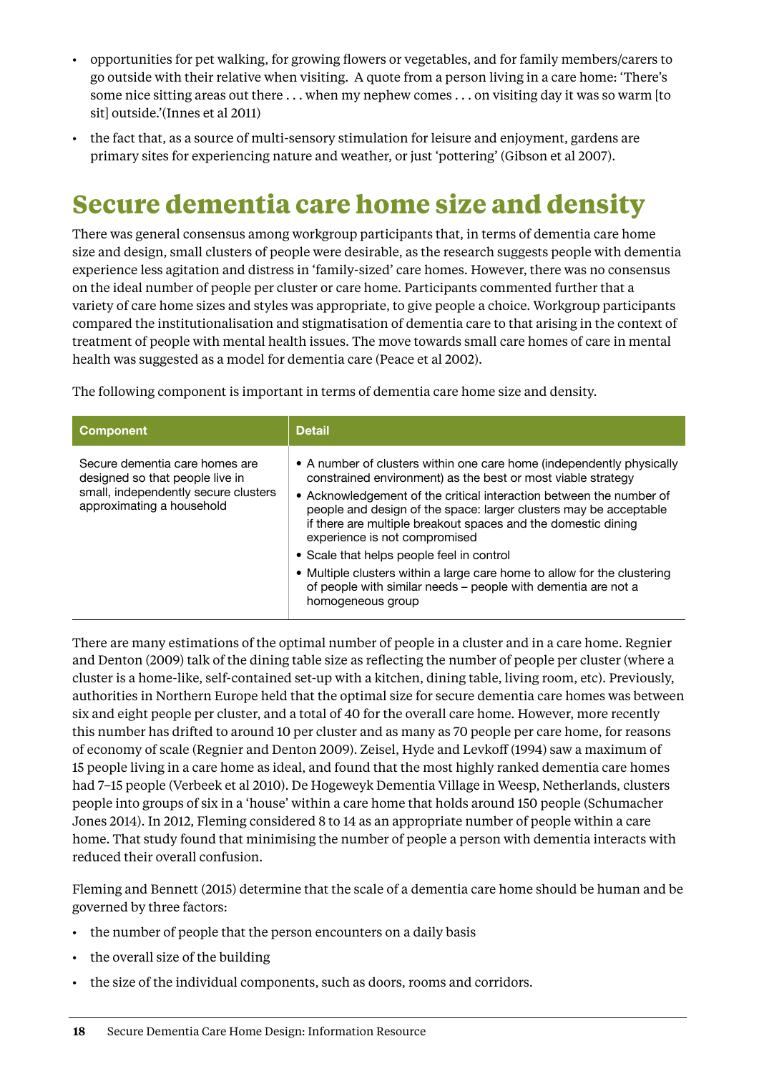- <span id="page-21-0"></span>• opportunities for pet walking, for growing flowers or vegetables, and for family members/carers to go outside with their relative when visiting. A quote from a person living in a care home: 'There's some nice sitting areas out there . . . when my nephew comes . . . on visiting day it was so warm [to sit] outside.'(Innes et al 2011)
- • the fact that, as a source of multi-sensory stimulation for leisure and enjoyment, gardens are primary sites for experiencing nature and weather, or just 'pottering' (Gibson et al 2007).

## **Secure dementia care home size and density**

There was general consensus among workgroup participants that, in terms of dementia care home size and design, small clusters of people were desirable, as the research suggests people with dementia experience less agitation and distress in 'family-sized' care homes. However, there was no consensus on the ideal number of people per cluster or care home. Participants commented further that a variety of care home sizes and styles was appropriate, to give people a choice. Workgroup participants compared the institutionalisation and stigmatisation of dementia care to that arising in the context of treatment of people with mental health issues. The move towards small care homes of care in mental health was suggested as a model for dementia care (Peace et al 2002).

The following component is important in terms of dementia care home size and density.

| <b>Component</b>                                                                                                                       | <b>Detail</b>                                                                                                                                                                                                                                                                                                                                                                                                                                                                                                                                                                                      |
|----------------------------------------------------------------------------------------------------------------------------------------|----------------------------------------------------------------------------------------------------------------------------------------------------------------------------------------------------------------------------------------------------------------------------------------------------------------------------------------------------------------------------------------------------------------------------------------------------------------------------------------------------------------------------------------------------------------------------------------------------|
| Secure dementia care homes are<br>designed so that people live in<br>small, independently secure clusters<br>approximating a household | • A number of clusters within one care home (independently physically<br>constrained environment) as the best or most viable strategy<br>• Acknowledgement of the critical interaction between the number of<br>people and design of the space: larger clusters may be acceptable<br>if there are multiple breakout spaces and the domestic dining<br>experience is not compromised<br>• Scale that helps people feel in control<br>• Multiple clusters within a large care home to allow for the clustering<br>of people with similar needs - people with dementia are not a<br>homogeneous group |

There are many estimations of the optimal number of people in a cluster and in a care home. Regnier and Denton (2009) talk of the dining table size as reflecting the number of people per cluster (where a cluster is a home-like, self-contained set-up with a kitchen, dining table, living room, etc). Previously, authorities in Northern Europe held that the optimal size for secure dementia care homes was between six and eight people per cluster, and a total of 40 for the overall care home. However, more recently this number has drifted to around 10 per cluster and as many as 70 people per care home, for reasons of economy of scale (Regnier and Denton 2009). Zeisel, Hyde and Levkoff (1994) saw a maximum of 15 people living in a care home as ideal, and found that the most highly ranked dementia care homes had 7–15 people (Verbeek et al 2010). De Hogeweyk Dementia Village in Weesp, Netherlands, clusters people into groups of six in a 'house' within a care home that holds around 150 people (Schumacher Jones 2014). In 2012, Fleming considered 8 to 14 as an appropriate number of people within a care home. That study found that minimising the number of people a person with dementia interacts with reduced their overall confusion.

Fleming and Bennett (2015) determine that the scale of a dementia care home should be human and be governed by three factors:

- the number of people that the person encounters on a daily basis
- • the overall size of the building
- the size of the individual components, such as doors, rooms and corridors.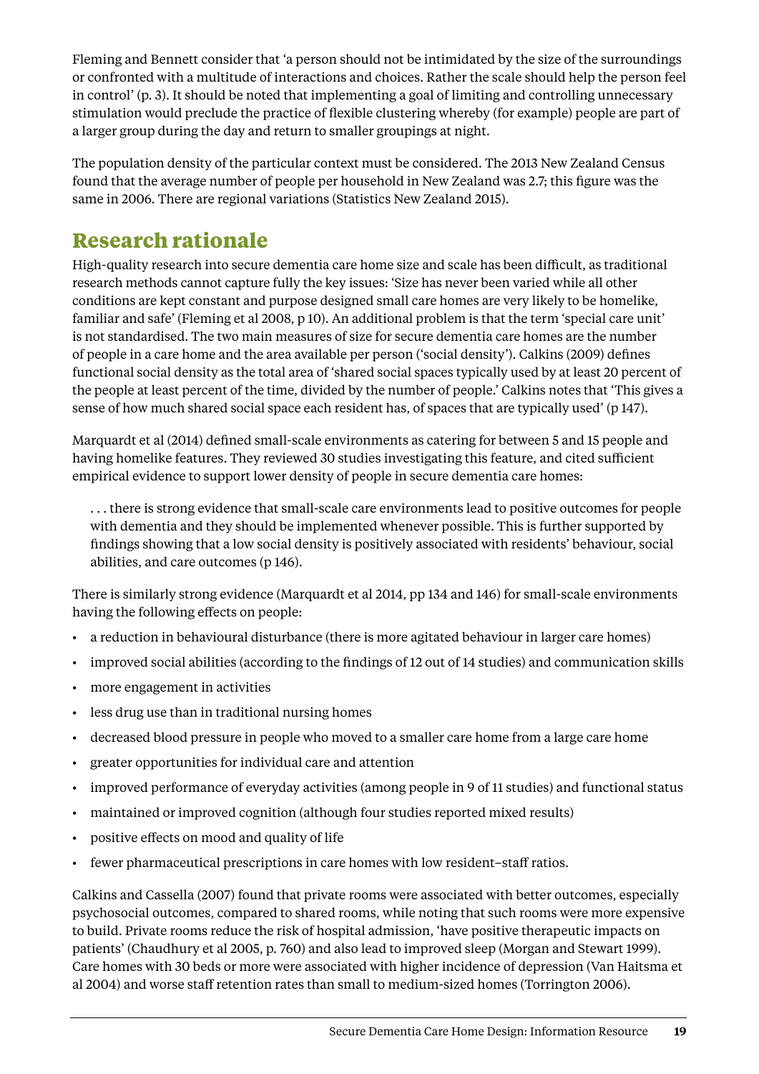Fleming and Bennett consider that 'a person should not be intimidated by the size of the surroundings or confronted with a multitude of interactions and choices. Rather the scale should help the person feel in control' (p. 3). It should be noted that implementing a goal of limiting and controlling unnecessary stimulation would preclude the practice of flexible clustering whereby (for example) people are part of a larger group during the day and return to smaller groupings at night.

The population density of the particular context must be considered. The 2013 New Zealand Census found that the average number of people per household in New Zealand was 2.7; this figure was the same in 2006. There are regional variations (Statistics New Zealand 2015).

#### **Research rationale**

High-quality research into secure dementia care home size and scale has been difficult, as traditional research methods cannot capture fully the key issues: 'Size has never been varied while all other conditions are kept constant and purpose designed small care homes are very likely to be homelike, familiar and safe' (Fleming et al 2008, p 10). An additional problem is that the term 'special care unit' is not standardised. The two main measures of size for secure dementia care homes are the number of people in a care home and the area available per person ('social density'). Calkins (2009) defines functional social density as the total area of 'shared social spaces typically used by at least 20 percent of the people at least percent of the time, divided by the number of people.' Calkins notes that 'This gives a sense of how much shared social space each resident has, of spaces that are typically used' (p 147).

Marquardt et al (2014) defined small-scale environments as catering for between 5 and 15 people and having homelike features. They reviewed 30 studies investigating this feature, and cited sufficient empirical evidence to support lower density of people in secure dementia care homes:

. . . there is strong evidence that small-scale care environments lead to positive outcomes for people with dementia and they should be implemented whenever possible. This is further supported by findings showing that a low social density is positively associated with residents' behaviour, social abilities, and care outcomes (p 146).

There is similarly strong evidence (Marquardt et al 2014, pp 134 and 146) for small-scale environments having the following effects on people:

- • a reduction in behavioural disturbance (there is more agitated behaviour in larger care homes)
- • improved social abilities (according to the findings of 12 out of 14 studies) and communication skills
- more engagement in activities
- • less drug use than in traditional nursing homes
- decreased blood pressure in people who moved to a smaller care home from a large care home
- • greater opportunities for individual care and attention
- • improved performance of everyday activities (among people in 9 of 11 studies) and functional status
- maintained or improved cognition (although four studies reported mixed results)
- • positive effects on mood and quality of life
- fewer pharmaceutical prescriptions in care homes with low resident–staff ratios.

Calkins and Cassella (2007) found that private rooms were associated with better outcomes, especially psychosocial outcomes, compared to shared rooms, while noting that such rooms were more expensive to build. Private rooms reduce the risk of hospital admission, 'have positive therapeutic impacts on patients' (Chaudhury et al 2005, p. 760) and also lead to improved sleep (Morgan and Stewart 1999). Care homes with 30 beds or more were associated with higher incidence of depression (Van Haitsma et al 2004) and worse staff retention rates than small to medium-sized homes (Torrington 2006).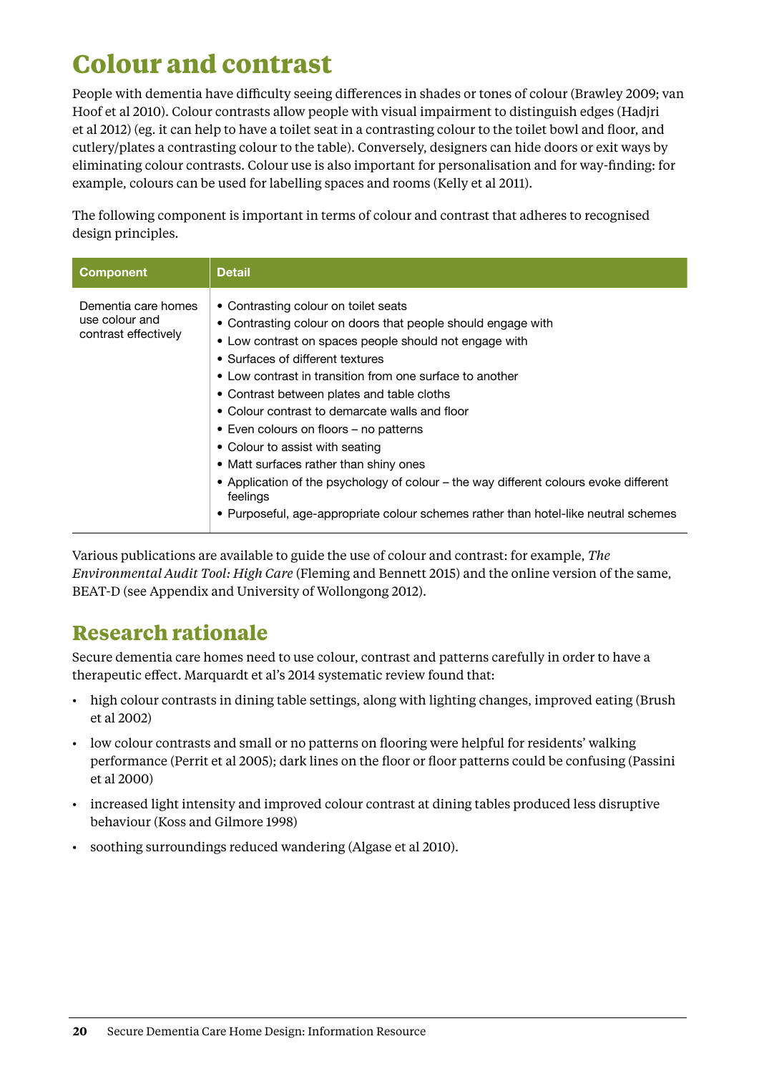## <span id="page-23-0"></span>**Colour and contrast**

People with dementia have difficulty seeing differences in shades or tones of colour (Brawley 2009; van Hoof et al 2010). Colour contrasts allow people with visual impairment to distinguish edges (Hadjri et al 2012) (eg. it can help to have a toilet seat in a contrasting colour to the toilet bowl and floor, and cutlery/plates a contrasting colour to the table). Conversely, designers can hide doors or exit ways by eliminating colour contrasts. Colour use is also important for personalisation and for way-finding: for example, colours can be used for labelling spaces and rooms (Kelly et al 2011).

The following component is important in terms of colour and contrast that adheres to recognised design principles.

| <b>Component</b>                                              | <b>Detail</b>                                                                                                                                                                                                                                                                                                                                                                                                                                                                                                                                                                                                                                                                     |
|---------------------------------------------------------------|-----------------------------------------------------------------------------------------------------------------------------------------------------------------------------------------------------------------------------------------------------------------------------------------------------------------------------------------------------------------------------------------------------------------------------------------------------------------------------------------------------------------------------------------------------------------------------------------------------------------------------------------------------------------------------------|
| Dementia care homes<br>use colour and<br>contrast effectively | • Contrasting colour on toilet seats<br>• Contrasting colour on doors that people should engage with<br>• Low contrast on spaces people should not engage with<br>• Surfaces of different textures<br>• Low contrast in transition from one surface to another<br>• Contrast between plates and table cloths<br>• Colour contrast to demarcate walls and floor<br>• Even colours on floors – no patterns<br>• Colour to assist with seating<br>• Matt surfaces rather than shiny ones<br>• Application of the psychology of colour – the way different colours evoke different<br>feelings<br>• Purposeful, age-appropriate colour schemes rather than hotel-like neutral schemes |

Various publications are available to guide the use of colour and contrast: for example, *The Environmental Audit Tool: High Care* (Fleming and Bennett 2015) and the online version of the same, BEAT-D (see Appendix and University of Wollongong 2012).

#### **Research rationale**

Secure dementia care homes need to use colour, contrast and patterns carefully in order to have a therapeutic effect. Marquardt et al's 2014 systematic review found that:

- • high colour contrasts in dining table settings, along with lighting changes, improved eating (Brush et al 2002)
- • low colour contrasts and small or no patterns on flooring were helpful for residents' walking performance (Perrit et al 2005); dark lines on the floor or floor patterns could be confusing (Passini et al 2000)
- • increased light intensity and improved colour contrast at dining tables produced less disruptive behaviour (Koss and Gilmore 1998)
- • soothing surroundings reduced wandering (Algase et al 2010).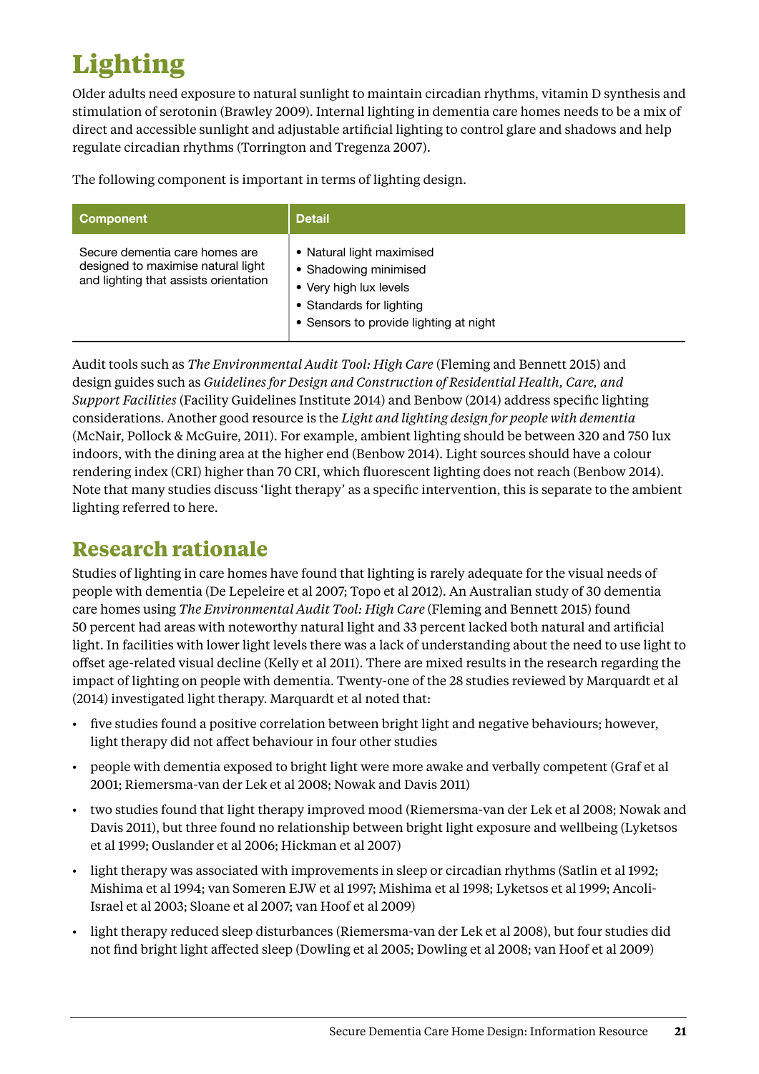## <span id="page-24-0"></span>**Lighting**

Older adults need exposure to natural sunlight to maintain circadian rhythms, vitamin D synthesis and stimulation of serotonin (Brawley 2009). Internal lighting in dementia care homes needs to be a mix of direct and accessible sunlight and adjustable artificial lighting to control glare and shadows and help regulate circadian rhythms (Torrington and Tregenza 2007).

The following component is important in terms of lighting design.

| <b>Component</b>                                                                                              | <b>Detail</b>                                                                                                                                      |
|---------------------------------------------------------------------------------------------------------------|----------------------------------------------------------------------------------------------------------------------------------------------------|
| Secure dementia care homes are<br>designed to maximise natural light<br>and lighting that assists orientation | • Natural light maximised<br>• Shadowing minimised<br>• Very high lux levels<br>• Standards for lighting<br>• Sensors to provide lighting at night |

Audit tools such as *The Environmental Audit Tool: High Care* (Fleming and Bennett 2015) and design guides such as *Guidelines for Design and Construction of Residential Health, Care, and Support Facilities* (Facility Guidelines Institute 2014) and Benbow (2014) address specific lighting considerations. Another good resource is the *Light and lighting design for people with dementia*  (McNair, Pollock & McGuire, 2011). For example, ambient lighting should be between 320 and 750 lux indoors, with the dining area at the higher end (Benbow 2014). Light sources should have a colour rendering index (CRI) higher than 70 CRI, which fluorescent lighting does not reach (Benbow 2014). Note that many studies discuss 'light therapy' as a specific intervention, this is separate to the ambient lighting referred to here.

#### **Research rationale**

Studies of lighting in care homes have found that lighting is rarely adequate for the visual needs of people with dementia (De Lepeleire et al 2007; Topo et al 2012). An Australian study of 30 dementia care homes using *The Environmental Audit Tool: High Care* (Fleming and Bennett 2015) found 50 percent had areas with noteworthy natural light and 33 percent lacked both natural and artificial light. In facilities with lower light levels there was a lack of understanding about the need to use light to offset age-related visual decline (Kelly et al 2011). There are mixed results in the research regarding the impact of lighting on people with dementia. Twenty-one of the 28 studies reviewed by Marquardt et al (2014) investigated light therapy. Marquardt et al noted that:

- • five studies found a positive correlation between bright light and negative behaviours; however, light therapy did not affect behaviour in four other studies
- people with dementia exposed to bright light were more awake and verbally competent (Graf et al 2001; Riemersma-van der Lek et al 2008; Nowak and Davis 2011)
- • two studies found that light therapy improved mood (Riemersma-van der Lek et al 2008; Nowak and Davis 2011), but three found no relationship between bright light exposure and wellbeing (Lyketsos et al 1999; Ouslander et al 2006; Hickman et al 2007)
- light therapy was associated with improvements in sleep or circadian rhythms (Satlin et al 1992; Mishima et al 1994; van Someren EJW et al 1997; Mishima et al 1998; Lyketsos et al 1999; Ancoli-Israel et al 2003; Sloane et al 2007; van Hoof et al 2009)
- • light therapy reduced sleep disturbances (Riemersma-van der Lek et al 2008), but four studies did not find bright light affected sleep (Dowling et al 2005; Dowling et al 2008; van Hoof et al 2009)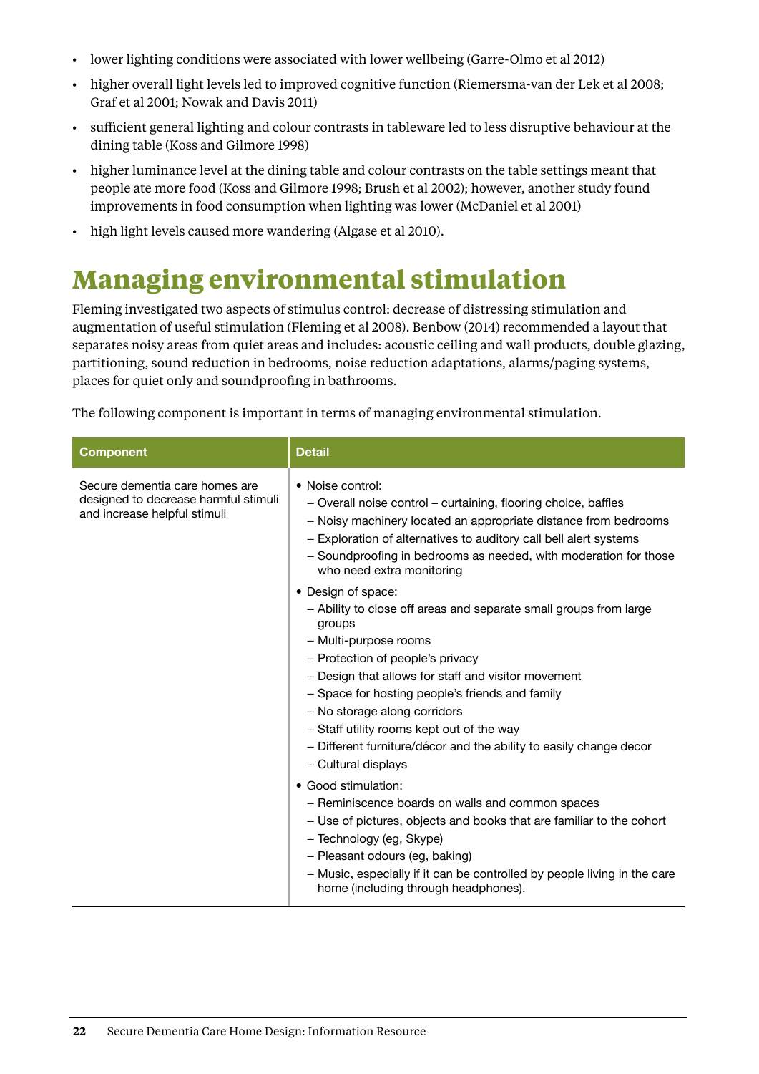- <span id="page-25-0"></span>• lower lighting conditions were associated with lower wellbeing (Garre-Olmo et al 2012)
- higher overall light levels led to improved cognitive function (Riemersma-van der Lek et al 2008; Graf et al 2001; Nowak and Davis 2011)
- • sufficient general lighting and colour contrasts in tableware led to less disruptive behaviour at the dining table (Koss and Gilmore 1998)
- • higher luminance level at the dining table and colour contrasts on the table settings meant that people ate more food (Koss and Gilmore 1998; Brush et al 2002); however, another study found improvements in food consumption when lighting was lower (McDaniel et al 2001)
- • high light levels caused more wandering (Algase et al 2010).

### **Managing environmental stimulation**

Fleming investigated two aspects of stimulus control: decrease of distressing stimulation and augmentation of useful stimulation (Fleming et al 2008). Benbow (2014) recommended a layout that separates noisy areas from quiet areas and includes: acoustic ceiling and wall products, double glazing, partitioning, sound reduction in bedrooms, noise reduction adaptations, alarms/paging systems, places for quiet only and soundproofing in bathrooms.

The following component is important in terms of managing environmental stimulation.

| <b>Component</b>                                                                                       | <b>Detail</b>                                                                                                                                                                                                                                                                                                                                                                                                                                      |
|--------------------------------------------------------------------------------------------------------|----------------------------------------------------------------------------------------------------------------------------------------------------------------------------------------------------------------------------------------------------------------------------------------------------------------------------------------------------------------------------------------------------------------------------------------------------|
| Secure dementia care homes are<br>designed to decrease harmful stimuli<br>and increase helpful stimuli | • Noise control:<br>- Overall noise control – curtaining, flooring choice, baffles<br>- Noisy machinery located an appropriate distance from bedrooms<br>- Exploration of alternatives to auditory call bell alert systems<br>- Soundproofing in bedrooms as needed, with moderation for those<br>who need extra monitoring                                                                                                                        |
|                                                                                                        | • Design of space:<br>- Ability to close off areas and separate small groups from large<br>groups<br>- Multi-purpose rooms<br>- Protection of people's privacy<br>- Design that allows for staff and visitor movement<br>- Space for hosting people's friends and family<br>- No storage along corridors<br>- Staff utility rooms kept out of the way<br>- Different furniture/décor and the ability to easily change decor<br>- Cultural displays |
|                                                                                                        | • Good stimulation:<br>- Reminiscence boards on walls and common spaces<br>- Use of pictures, objects and books that are familiar to the cohort<br>- Technology (eg, Skype)<br>- Pleasant odours (eg, baking)<br>- Music, especially if it can be controlled by people living in the care<br>home (including through headphones).                                                                                                                  |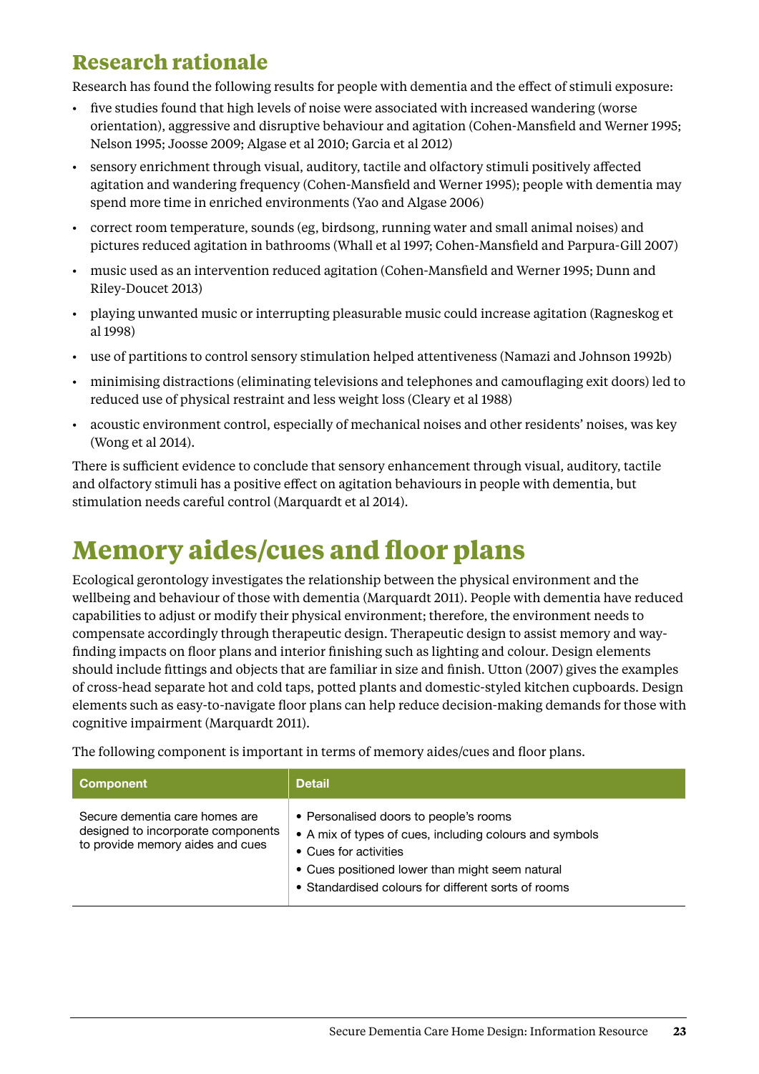### <span id="page-26-0"></span>**Research rationale**

Research has found the following results for people with dementia and the effect of stimuli exposure:

- • five studies found that high levels of noise were associated with increased wandering (worse orientation), aggressive and disruptive behaviour and agitation (Cohen-Mansfield and Werner 1995; Nelson 1995; Joosse 2009; Algase et al 2010; Garcia et al 2012)
- sensory enrichment through visual, auditory, tactile and olfactory stimuli positively affected agitation and wandering frequency (Cohen-Mansfield and Werner 1995); people with dementia may spend more time in enriched environments (Yao and Algase 2006)
- • correct room temperature, sounds (eg, birdsong, running water and small animal noises) and pictures reduced agitation in bathrooms (Whall et al 1997; Cohen-Mansfield and Parpura-Gill 2007)
- • music used as an intervention reduced agitation (Cohen-Mansfield and Werner 1995; Dunn and Riley-Doucet 2013)
- playing unwanted music or interrupting pleasurable music could increase agitation (Ragneskog et al 1998)
- • use of partitions to control sensory stimulation helped attentiveness (Namazi and Johnson 1992b)
- • minimising distractions (eliminating televisions and telephones and camouflaging exit doors) led to reduced use of physical restraint and less weight loss (Cleary et al 1988)
- • acoustic environment control, especially of mechanical noises and other residents' noises, was key (Wong et al 2014).

There is sufficient evidence to conclude that sensory enhancement through visual, auditory, tactile and olfactory stimuli has a positive effect on agitation behaviours in people with dementia, but stimulation needs careful control (Marquardt et al 2014).

## **Memory aides/cues and floor plans**

Ecological gerontology investigates the relationship between the physical environment and the wellbeing and behaviour of those with dementia (Marquardt 2011). People with dementia have reduced capabilities to adjust or modify their physical environment; therefore, the environment needs to compensate accordingly through therapeutic design. Therapeutic design to assist memory and wayfinding impacts on floor plans and interior finishing such as lighting and colour. Design elements should include fittings and objects that are familiar in size and finish. Utton (2007) gives the examples of cross-head separate hot and cold taps, potted plants and domestic-styled kitchen cupboards. Design elements such as easy-to-navigate floor plans can help reduce decision-making demands for those with cognitive impairment (Marquardt 2011).

The following component is important in terms of memory aides/cues and floor plans.

| <b>Component</b>                                                                                         | <b>Detail</b>                                                                                                                                                                                                                        |
|----------------------------------------------------------------------------------------------------------|--------------------------------------------------------------------------------------------------------------------------------------------------------------------------------------------------------------------------------------|
| Secure dementia care homes are<br>designed to incorporate components<br>to provide memory aides and cues | • Personalised doors to people's rooms<br>• A mix of types of cues, including colours and symbols<br>• Cues for activities<br>• Cues positioned lower than might seem natural<br>• Standardised colours for different sorts of rooms |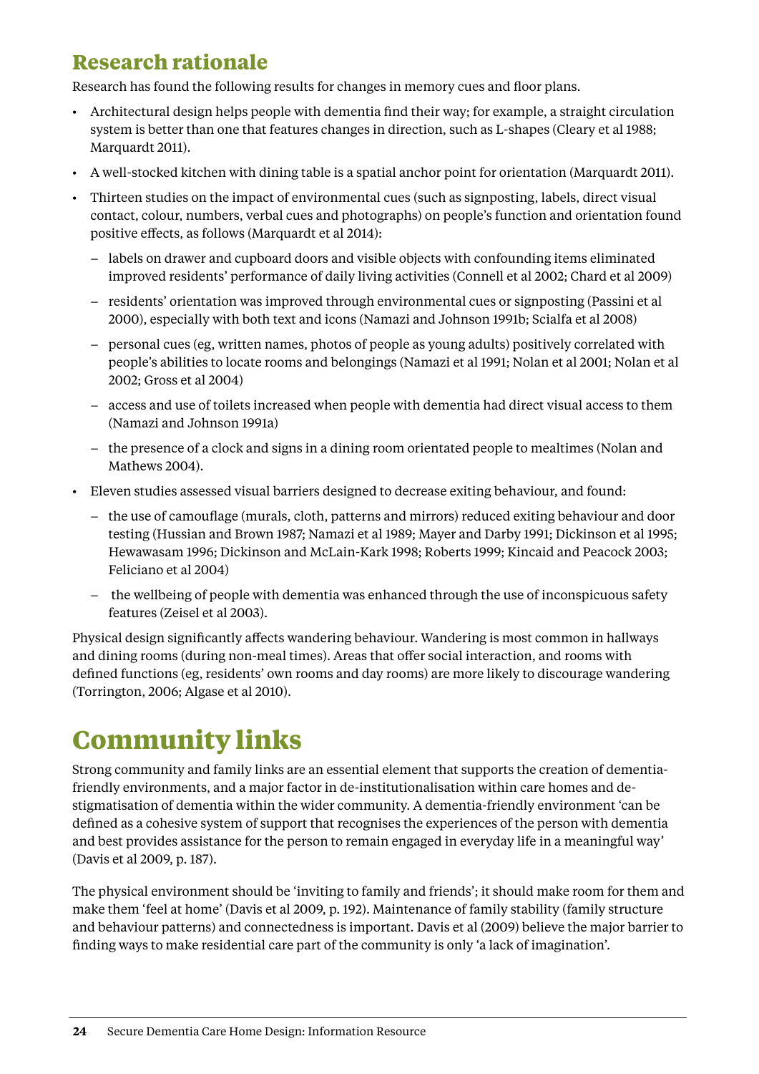### <span id="page-27-0"></span>**Research rationale**

Research has found the following results for changes in memory cues and floor plans.

- • Architectural design helps people with dementia find their way; for example, a straight circulation system is better than one that features changes in direction, such as L-shapes (Cleary et al 1988; Marquardt 2011).
- • A well-stocked kitchen with dining table is a spatial anchor point for orientation (Marquardt 2011).
- • Thirteen studies on the impact of environmental cues (such as signposting, labels, direct visual contact, colour, numbers, verbal cues and photographs) on people's function and orientation found positive effects, as follows (Marquardt et al 2014):
	- labels on drawer and cupboard doors and visible objects with confounding items eliminated improved residents' performance of daily living activities (Connell et al 2002; Chard et al 2009)
	- residents' orientation was improved through environmental cues or signposting (Passini et al 2000), especially with both text and icons (Namazi and Johnson 1991b; Scialfa et al 2008)
	- personal cues (eg, written names, photos of people as young adults) positively correlated with people's abilities to locate rooms and belongings (Namazi et al 1991; Nolan et al 2001; Nolan et al 2002; Gross et al 2004)
	- access and use of toilets increased when people with dementia had direct visual access to them (Namazi and Johnson 1991a)
	- the presence of a clock and signs in a dining room orientated people to mealtimes (Nolan and Mathews 2004).
- • Eleven studies assessed visual barriers designed to decrease exiting behaviour, and found:
	- the use of camouflage (murals, cloth, patterns and mirrors) reduced exiting behaviour and door testing (Hussian and Brown 1987; Namazi et al 1989; Mayer and Darby 1991; Dickinson et al 1995; Hewawasam 1996; Dickinson and McLain-Kark 1998; Roberts 1999; Kincaid and Peacock 2003; Feliciano et al 2004)
	- the wellbeing of people with dementia was enhanced through the use of inconspicuous safety features (Zeisel et al 2003).

Physical design significantly affects wandering behaviour. Wandering is most common in hallways and dining rooms (during non-meal times). Areas that offer social interaction, and rooms with defined functions (eg, residents' own rooms and day rooms) are more likely to discourage wandering (Torrington, 2006; Algase et al 2010).

## **Community links**

Strong community and family links are an essential element that supports the creation of dementiafriendly environments, and a major factor in de-institutionalisation within care homes and destigmatisation of dementia within the wider community. A dementia-friendly environment 'can be defined as a cohesive system of support that recognises the experiences of the person with dementia and best provides assistance for the person to remain engaged in everyday life in a meaningful way' (Davis et al 2009, p. 187).

The physical environment should be 'inviting to family and friends'; it should make room for them and make them 'feel at home' (Davis et al 2009, p. 192). Maintenance of family stability (family structure and behaviour patterns) and connectedness is important. Davis et al (2009) believe the major barrier to finding ways to make residential care part of the community is only 'a lack of imagination'.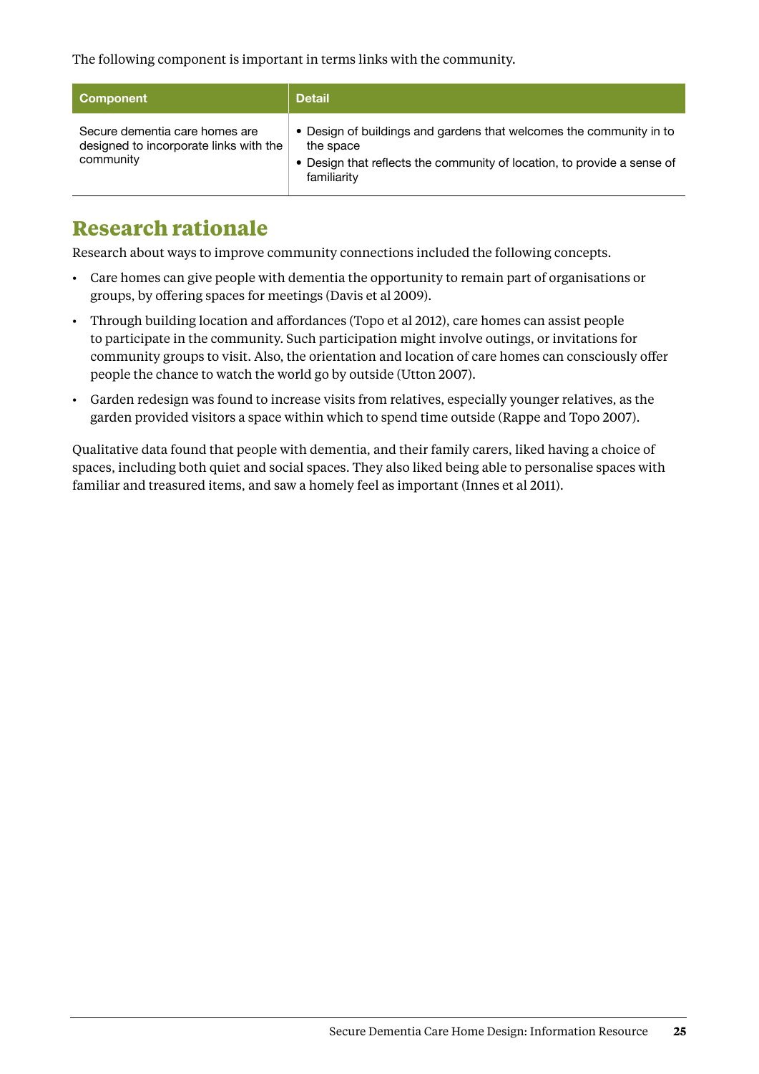The following component is important in terms links with the community.

| Component                                                                             | <b>Detail</b>                                                                                                                                                              |
|---------------------------------------------------------------------------------------|----------------------------------------------------------------------------------------------------------------------------------------------------------------------------|
| Secure dementia care homes are<br>designed to incorporate links with the<br>community | • Design of buildings and gardens that welcomes the community in to<br>the space<br>• Design that reflects the community of location, to provide a sense of<br>familiarity |

#### **Research rationale**

Research about ways to improve community connections included the following concepts.

- • Care homes can give people with dementia the opportunity to remain part of organisations or groups, by offering spaces for meetings (Davis et al 2009).
- • Through building location and affordances (Topo et al 2012), care homes can assist people to participate in the community. Such participation might involve outings, or invitations for community groups to visit. Also, the orientation and location of care homes can consciously offer people the chance to watch the world go by outside (Utton 2007).
- • Garden redesign was found to increase visits from relatives, especially younger relatives, as the garden provided visitors a space within which to spend time outside (Rappe and Topo 2007).

Qualitative data found that people with dementia, and their family carers, liked having a choice of spaces, including both quiet and social spaces. They also liked being able to personalise spaces with familiar and treasured items, and saw a homely feel as important (Innes et al 2011).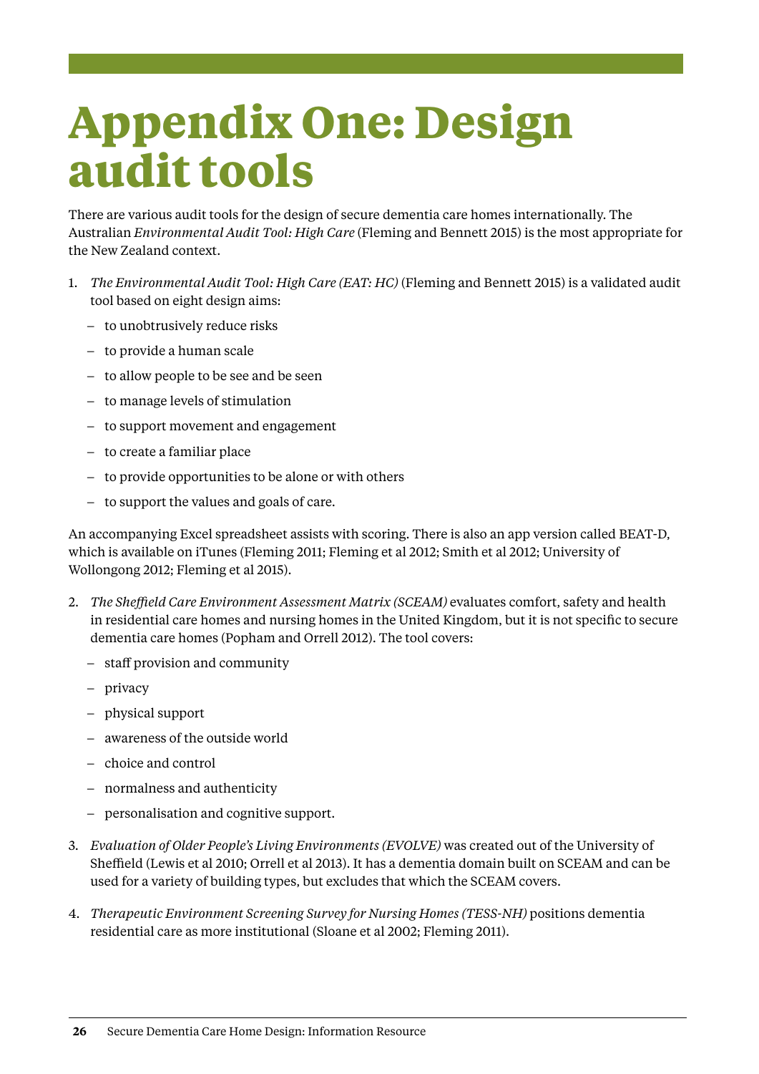# <span id="page-29-0"></span>**Appendix One: Design audit tools**

There are various audit tools for the design of secure dementia care homes internationally. The Australian *Environmental Audit Tool: High Care* (Fleming and Bennett 2015) is the most appropriate for the New Zealand context.

- 1. *The Environmental Audit Tool: High Care (EAT: HC)* (Fleming and Bennett 2015) is a validated audit tool based on eight design aims:
	- to unobtrusively reduce risks
	- to provide a human scale
	- to allow people to be see and be seen
	- to manage levels of stimulation
	- to support movement and engagement
	- to create a familiar place
	- to provide opportunities to be alone or with others
	- to support the values and goals of care.

An accompanying Excel spreadsheet assists with scoring. There is also an app version called BEAT-D, which is available on iTunes (Fleming 2011; Fleming et al 2012; Smith et al 2012; University of Wollongong 2012; Fleming et al 2015).

- 2. *The Sheffield Care Environment Assessment Matrix (SCEAM)* evaluates comfort, safety and health in residential care homes and nursing homes in the United Kingdom, but it is not specific to secure dementia care homes (Popham and Orrell 2012). The tool covers:
	- staff provision and community
	- privacy
	- physical support
	- awareness of the outside world
	- choice and control
	- normalness and authenticity
	- personalisation and cognitive support.
- 3. *Evaluation of Older People's Living Environments (EVOLVE)* was created out of the University of Sheffield (Lewis et al 2010; Orrell et al 2013). It has a dementia domain built on SCEAM and can be used for a variety of building types, but excludes that which the SCEAM covers.
- 4. *Therapeutic Environment Screening Survey for Nursing Homes (TESS-NH)* positions dementia residential care as more institutional (Sloane et al 2002; Fleming 2011).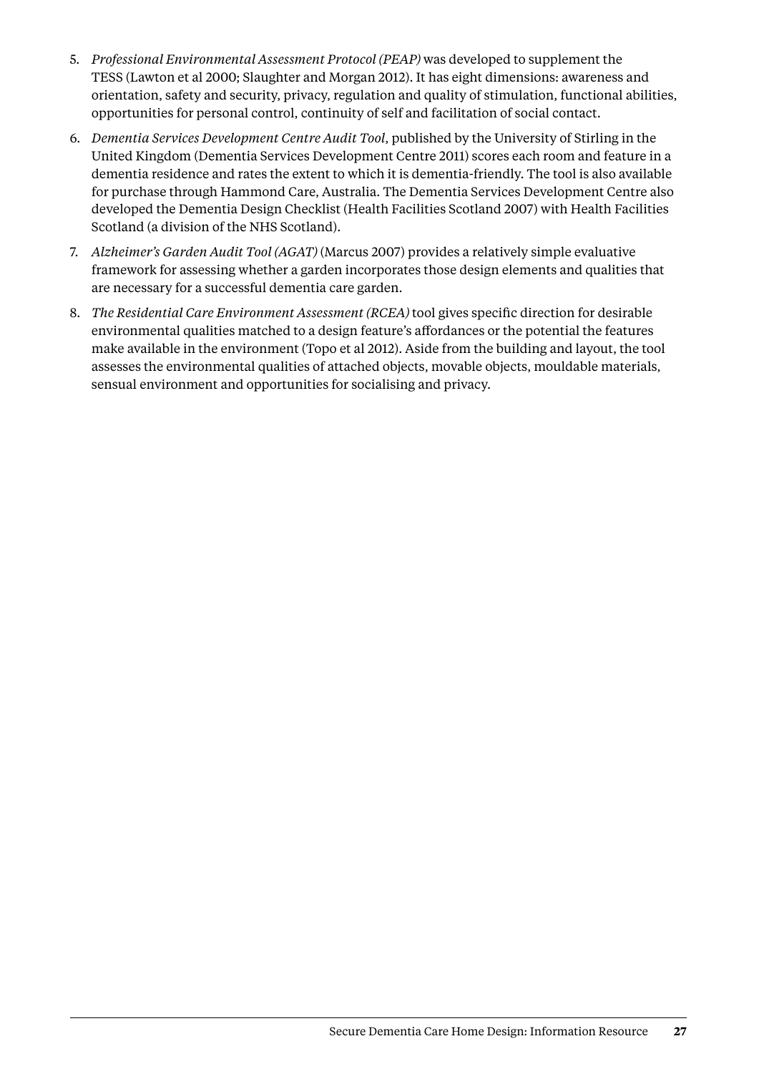- 5. *Professional Environmental Assessment Protocol (PEAP)* was developed to supplement the TESS (Lawton et al 2000; Slaughter and Morgan 2012). It has eight dimensions: awareness and orientation, safety and security, privacy, regulation and quality of stimulation, functional abilities, opportunities for personal control, continuity of self and facilitation of social contact.
- 6. *Dementia Services Development Centre Audit Tool*, published by the University of Stirling in the United Kingdom (Dementia Services Development Centre 2011) scores each room and feature in a dementia residence and rates the extent to which it is dementia-friendly. The tool is also available for purchase through Hammond Care, Australia. The Dementia Services Development Centre also developed the Dementia Design Checklist (Health Facilities Scotland 2007) with Health Facilities Scotland (a division of the NHS Scotland).
- 7. *Alzheimer's Garden Audit Tool (AGAT)* (Marcus 2007) provides a relatively simple evaluative framework for assessing whether a garden incorporates those design elements and qualities that are necessary for a successful dementia care garden.
- 8. *The Residential Care Environment Assessment (RCEA)* tool gives specific direction for desirable environmental qualities matched to a design feature's affordances or the potential the features make available in the environment (Topo et al 2012). Aside from the building and layout, the tool assesses the environmental qualities of attached objects, movable objects, mouldable materials, sensual environment and opportunities for socialising and privacy.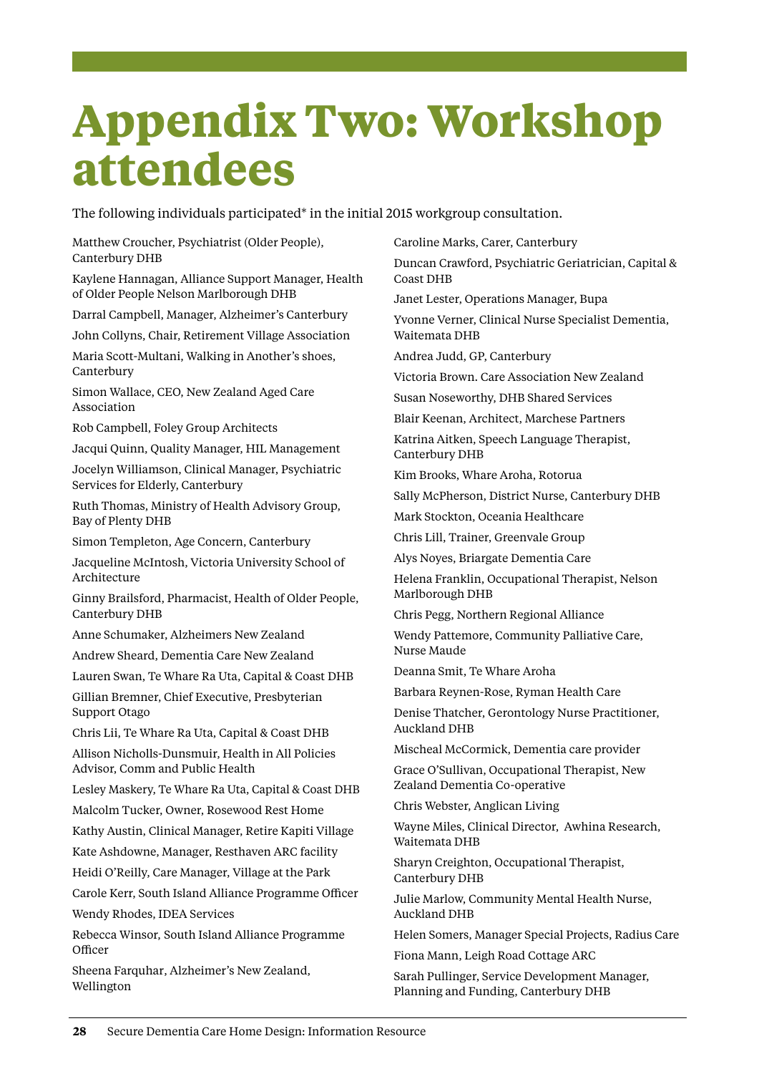## <span id="page-31-0"></span>**Appendix Two: Workshop attendees**

The following individuals participated\* in the initial 2015 workgroup consultation.

Matthew Croucher, Psychiatrist (Older People), Canterbury DHB

Kaylene Hannagan, Alliance Support Manager, Health of Older People Nelson Marlborough DHB

Darral Campbell, Manager, Alzheimer's Canterbury

John Collyns, Chair, Retirement Village Association

Maria Scott-Multani, Walking in Another's shoes, Canterbury

Simon Wallace, CEO, New Zealand Aged Care Association

Rob Campbell, Foley Group Architects

Jacqui Quinn, Quality Manager, HIL Management

Jocelyn Williamson, Clinical Manager, Psychiatric Services for Elderly, Canterbury

Ruth Thomas, Ministry of Health Advisory Group, Bay of Plenty DHB

Simon Templeton, Age Concern, Canterbury

Jacqueline McIntosh, Victoria University School of Architecture

Ginny Brailsford, Pharmacist, Health of Older People, Canterbury DHB

Anne Schumaker, Alzheimers New Zealand

Andrew Sheard, Dementia Care New Zealand

Lauren Swan, Te Whare Ra Uta, Capital & Coast DHB

Gillian Bremner, Chief Executive, Presbyterian Support Otago

Chris Lii, Te Whare Ra Uta, Capital & Coast DHB Allison Nicholls-Dunsmuir, Health in All Policies Advisor, Comm and Public Health

Lesley Maskery, Te Whare Ra Uta, Capital & Coast DHB

Malcolm Tucker, Owner, Rosewood Rest Home

Kathy Austin, Clinical Manager, Retire Kapiti Village

Kate Ashdowne, Manager, Resthaven ARC facility

Heidi O'Reilly, Care Manager, Village at the Park

Carole Kerr, South Island Alliance Programme Officer

Wendy Rhodes, IDEA Services

Rebecca Winsor, South Island Alliance Programme **Officer** 

Sheena Farquhar, Alzheimer's New Zealand, Wellington

Caroline Marks, Carer, Canterbury Duncan Crawford, Psychiatric Geriatrician, Capital & Coast DHB

Janet Lester, Operations Manager, Bupa

Yvonne Verner, Clinical Nurse Specialist Dementia, Waitemata DHB

Andrea Judd, GP, Canterbury

Victoria Brown. Care Association New Zealand

Susan Noseworthy, DHB Shared Services

Blair Keenan, Architect, Marchese Partners

Katrina Aitken, Speech Language Therapist, Canterbury DHB

Kim Brooks, Whare Aroha, Rotorua

Sally McPherson, District Nurse, Canterbury DHB

Mark Stockton, Oceania Healthcare

Chris Lill, Trainer, Greenvale Group

Alys Noyes, Briargate Dementia Care

Helena Franklin, Occupational Therapist, Nelson Marlborough DHB

Chris Pegg, Northern Regional Alliance

Wendy Pattemore, Community Palliative Care, Nurse Maude

Deanna Smit, Te Whare Aroha

Barbara Reynen-Rose, Ryman Health Care

Denise Thatcher, Gerontology Nurse Practitioner, Auckland DHB

Mischeal McCormick, Dementia care provider

Grace O'Sullivan, Occupational Therapist, New Zealand Dementia Co-operative

Chris Webster, Anglican Living

Wayne Miles, Clinical Director, Awhina Research, Waitemata DHB

Sharyn Creighton, Occupational Therapist, Canterbury DHB

Julie Marlow, Community Mental Health Nurse, Auckland DHB

Helen Somers, Manager Special Projects, Radius Care

Fiona Mann, Leigh Road Cottage ARC

Sarah Pullinger, Service Development Manager, Planning and Funding, Canterbury DHB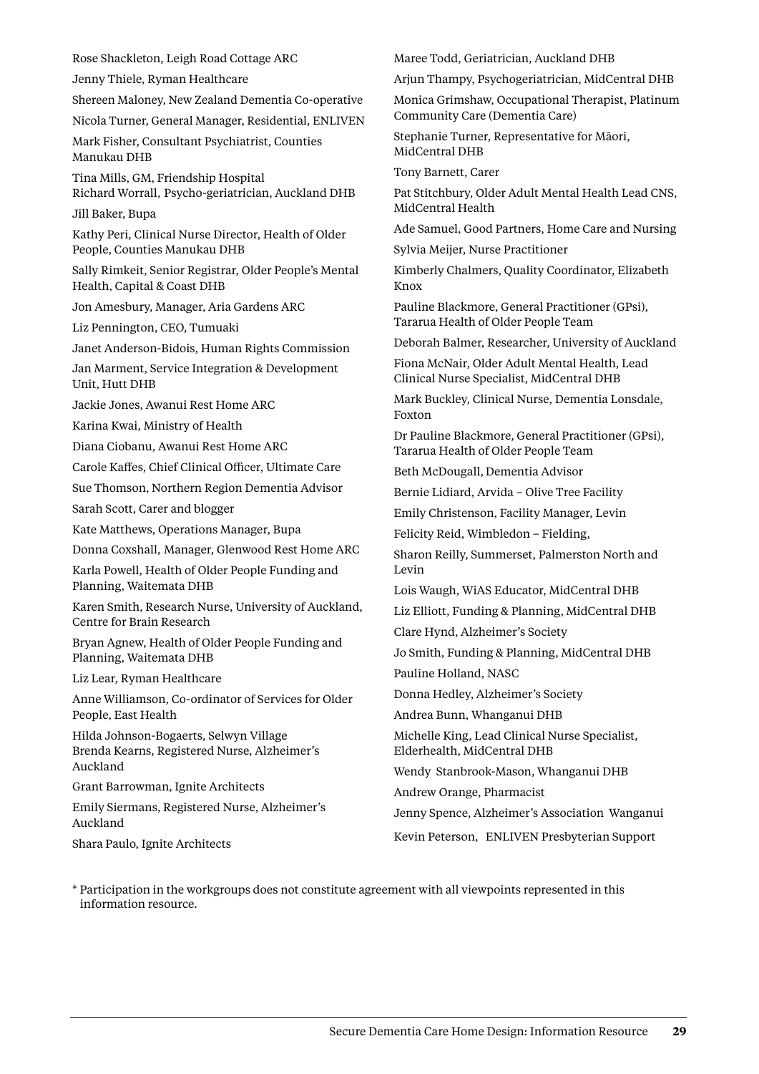Jenny Thiele, Ryman Healthcare Shereen Maloney, New Zealand Dementia Co-operative Nicola Turner, General Manager, Residential, ENLIVEN Mark Fisher, Consultant Psychiatrist, Counties Manukau DHB Tina Mills, GM, Friendship Hospital Richard Worrall, Psycho-geriatrician, Auckland DHB Jill Baker, Bupa Kathy Peri, Clinical Nurse Director, Health of Older People, Counties Manukau DHB Sally Rimkeit, Senior Registrar, Older People's Mental Health, Capital & Coast DHB Jon Amesbury, Manager, Aria Gardens ARC Liz Pennington, CEO, Tumuaki Janet Anderson-Bidois, Human Rights Commission Jan Marment, Service Integration & Development Unit, Hutt DHB Jackie Jones, Awanui Rest Home ARC Karina Kwai, Ministry of Health Diana Ciobanu, Awanui Rest Home ARC Carole Kaffes, Chief Clinical Officer, Ultimate Care Sue Thomson, Northern Region Dementia Advisor Sarah Scott, Carer and blogger Kate Matthews, Operations Manager, Bupa Donna Coxshall, Manager, Glenwood Rest Home ARC Karla Powell, Health of Older People Funding and Planning, Waitemata DHB Karen Smith, Research Nurse, University of Auckland, Centre for Brain Research Bryan Agnew, Health of Older People Funding and Planning, Waitemata DHB Liz Lear, Ryman Healthcare Anne Williamson, Co-ordinator of Services for Older People, East Health Hilda Johnson-Bogaerts, Selwyn Village Brenda Kearns, Registered Nurse, Alzheimer's Auckland Grant Barrowman, Ignite Architects Emily Siermans, Registered Nurse, Alzheimer's Auckland Shara Paulo, Ignite Architects \* Participation in the workgroups does not constitute agreement with all viewpoints represented in this information resource.

Rose Shackleton, Leigh Road Cottage ARC

Maree Todd, Geriatrician, Auckland DHB

Arjun Thampy, Psychogeriatrician, MidCentral DHB

Monica Grimshaw, Occupational Therapist, Platinum Community Care (Dementia Care)

Stephanie Turner, Representative for Māori, MidCentral DHB

Tony Barnett, Carer

Pat Stitchbury, Older Adult Mental Health Lead CNS, MidCentral Health

Ade Samuel, Good Partners, Home Care and Nursing

Sylvia Meijer, Nurse Practitioner

Kimberly Chalmers, Quality Coordinator, Elizabeth Knox

Pauline Blackmore, General Practitioner (GPsi), Tararua Health of Older People Team

Deborah Balmer, Researcher, University of Auckland

Fiona McNair, Older Adult Mental Health, Lead Clinical Nurse Specialist, MidCentral DHB

Mark Buckley, Clinical Nurse, Dementia Lonsdale, Foxton

Dr Pauline Blackmore, General Practitioner (GPsi), Tararua Health of Older People Team

Beth McDougall, Dementia Advisor

Bernie Lidiard, Arvida – Olive Tree Facility

Emily Christenson, Facility Manager, Levin

Felicity Reid, Wimbledon – Fielding,

Sharon Reilly, Summerset, Palmerston North and Levin

Lois Waugh, WiAS Educator, MidCentral DHB

Liz Elliott, Funding & Planning, MidCentral DHB

Clare Hynd, Alzheimer's Society

Jo Smith, Funding & Planning, MidCentral DHB

Pauline Holland, NASC

Donna Hedley, Alzheimer's Society

Andrea Bunn, Whanganui DHB

Michelle King, Lead Clinical Nurse Specialist, Elderhealth, MidCentral DHB

Wendy Stanbrook-Mason, Whanganui DHB

Andrew Orange, Pharmacist

Jenny Spence, Alzheimer's Association Wanganui

Kevin Peterson, ENLIVEN Presbyterian Support

Secure Dementia Care Home Design: Information Resource **29**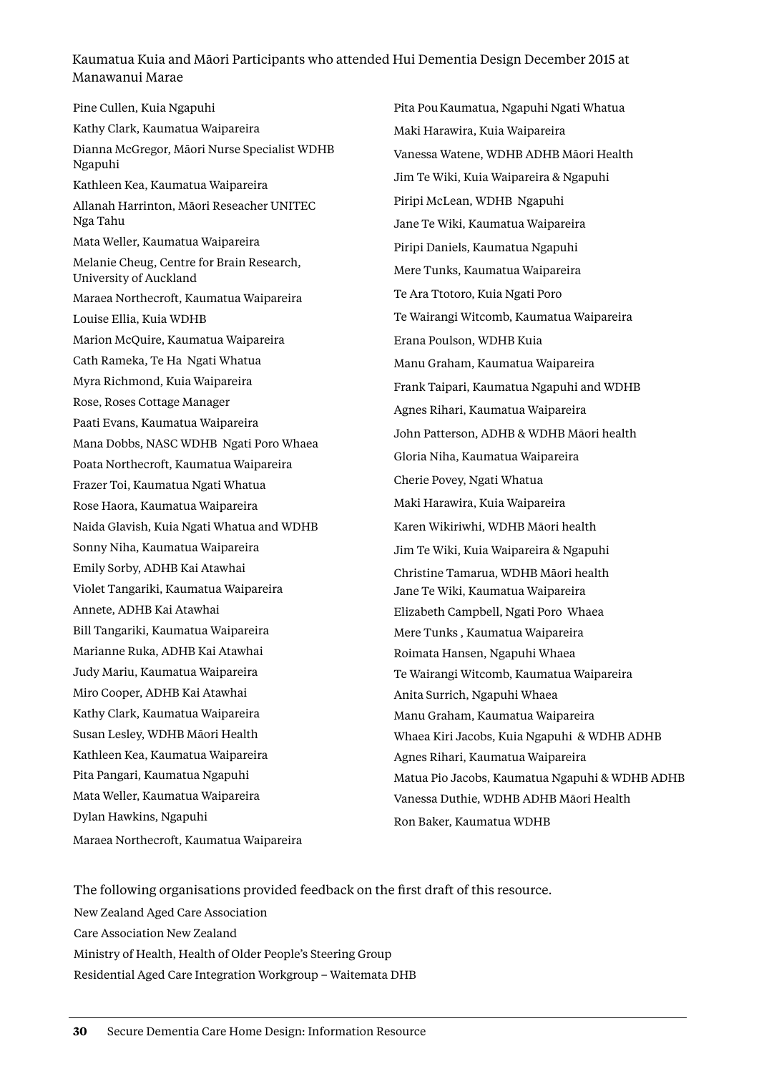#### Kaumatua Kuia and Māori Participants who attended Hui Dementia Design December 2015 at Manawanui Marae

Pine Cullen, Kuia Ngapuhi Kathy Clark, Kaumatua Waipareira Dianna McGregor, Māori Nurse Specialist WDHB Ngapuhi Kathleen Kea, Kaumatua Waipareira Allanah Harrinton, Māori Reseacher UNITEC Nga Tahu Mata Weller, Kaumatua Waipareira Melanie Cheug, Centre for Brain Research, University of Auckland Maraea Northecroft, Kaumatua Waipareira Louise Ellia, Kuia WDHB Marion McQuire, Kaumatua Waipareira Cath Rameka, Te Ha Ngati Whatua Myra Richmond, Kuia Waipareira Rose, Roses Cottage Manager Paati Evans, Kaumatua Waipareira Mana Dobbs, NASC WDHB Ngati Poro Whaea Poata Northecroft, Kaumatua Waipareira Frazer Toi, Kaumatua Ngati Whatua Rose Haora, Kaumatua Waipareira Naida Glavish, Kuia Ngati Whatua and WDHB Sonny Niha, Kaumatua Waipareira Emily Sorby, ADHB Kai Atawhai Violet Tangariki, Kaumatua Waipareira Annete, ADHB Kai Atawhai Bill Tangariki, Kaumatua Waipareira Marianne Ruka, ADHB Kai Atawhai Judy Mariu, Kaumatua Waipareira Miro Cooper, ADHB Kai Atawhai Kathy Clark, Kaumatua Waipareira Susan Lesley, WDHB Māori Health Kathleen Kea, Kaumatua Waipareira Pita Pangari, Kaumatua Ngapuhi Mata Weller, Kaumatua Waipareira Dylan Hawkins, Ngapuhi Maraea Northecroft, Kaumatua Waipareira

Pita PouKaumatua, Ngapuhi Ngati Whatua Maki Harawira, Kuia Waipareira Vanessa Watene, WDHB ADHB Māori Health Jim Te Wiki, Kuia Waipareira & Ngapuhi Piripi McLean, WDHB Ngapuhi Jane Te Wiki, Kaumatua Waipareira Piripi Daniels, Kaumatua Ngapuhi Mere Tunks, Kaumatua Waipareira Te Ara Ttotoro, Kuia Ngati Poro Te Wairangi Witcomb, Kaumatua Waipareira Erana Poulson, WDHB Kuia Manu Graham, Kaumatua Waipareira Frank Taipari, Kaumatua Ngapuhi and WDHB Agnes Rihari, Kaumatua Waipareira John Patterson, ADHB & WDHB Māori health Gloria Niha, Kaumatua Waipareira Cherie Povey, Ngati Whatua Maki Harawira, Kuia Waipareira Karen Wikiriwhi, WDHB Māori health Jim Te Wiki, Kuia Waipareira & Ngapuhi Christine Tamarua, WDHB Māori health Jane Te Wiki, Kaumatua Waipareira Elizabeth Campbell, Ngati Poro Whaea Mere Tunks , Kaumatua Waipareira Roimata Hansen, Ngapuhi Whaea Te Wairangi Witcomb, Kaumatua Waipareira Anita Surrich, Ngapuhi Whaea Manu Graham, Kaumatua Waipareira Whaea Kiri Jacobs, Kuia Ngapuhi & WDHB ADHB Agnes Rihari, Kaumatua Waipareira Matua Pio Jacobs, Kaumatua Ngapuhi & WDHB ADHB Vanessa Duthie, WDHB ADHB Māori Health Ron Baker, Kaumatua WDHB

The following organisations provided feedback on the first draft of this resource. New Zealand Aged Care Association Care Association New Zealand Ministry of Health, Health of Older People's Steering Group Residential Aged Care Integration Workgroup – Waitemata DHB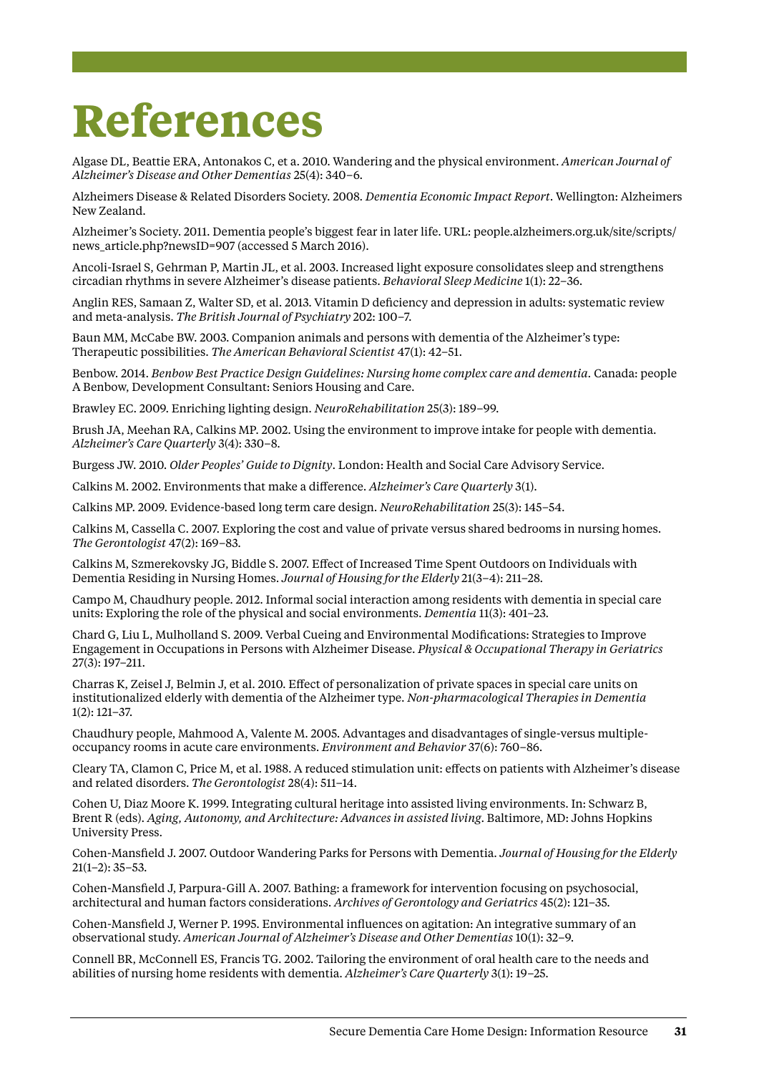## <span id="page-34-0"></span>**References**

Algase DL, Beattie ERA, Antonakos C, et a. 2010. Wandering and the physical environment. *American Journal of Alzheimer's Disease and Other Dementias* 25(4): 340–6.

Alzheimers Disease & Related Disorders Society. 2008. *Dementia Economic Impact Report*. Wellington: Alzheimers New Zealand.

Alzheimer's Society. 2011. Dementia people's biggest fear in later life. URL: people.alzheimers.org.uk/site/scripts/ news\_article.php?newsID=907 (accessed 5 March 2016).

Ancoli-Israel S, Gehrman P, Martin JL, et al. 2003. Increased light exposure consolidates sleep and strengthens circadian rhythms in severe Alzheimer's disease patients. *Behavioral Sleep Medicine* 1(1): 22–36.

Anglin RES, Samaan Z, Walter SD, et al. 2013. Vitamin D deficiency and depression in adults: systematic review and meta-analysis. *The British Journal of Psychiatry* 202: 100–7.

Baun MM, McCabe BW. 2003. Companion animals and persons with dementia of the Alzheimer's type: Therapeutic possibilities. *The American Behavioral Scientist* 47(1): 42–51.

Benbow. 2014. *Benbow Best Practice Design Guidelines: Nursing home complex care and dementia.* Canada: people A Benbow, Development Consultant: Seniors Housing and Care.

Brawley EC. 2009. Enriching lighting design. *NeuroRehabilitation* 25(3): 189–99.

Brush JA, Meehan RA, Calkins MP. 2002. Using the environment to improve intake for people with dementia. *Alzheimer's Care Quarterly* 3(4): 330–8.

Burgess JW. 2010. *Older Peoples' Guide to Dignity*. London: Health and Social Care Advisory Service.

Calkins M. 2002. Environments that make a difference. *Alzheimer's Care Quarterly* 3(1).

Calkins MP. 2009. Evidence-based long term care design. *NeuroRehabilitation* 25(3): 145–54.

Calkins M, Cassella C. 2007. Exploring the cost and value of private versus shared bedrooms in nursing homes. *The Gerontologist* 47(2): 169–83.

Calkins M, Szmerekovsky JG, Biddle S. 2007. Effect of Increased Time Spent Outdoors on Individuals with Dementia Residing in Nursing Homes. *Journal of Housing for the Elderly* 21(3–4): 211–28.

Campo M, Chaudhury people. 2012. Informal social interaction among residents with dementia in special care units: Exploring the role of the physical and social environments. *Dementia* 11(3): 401–23.

Chard G, Liu L, Mulholland S. 2009. Verbal Cueing and Environmental Modifications: Strategies to Improve Engagement in Occupations in Persons with Alzheimer Disease. *Physical & Occupational Therapy in Geriatrics*  27(3): 197–211.

Charras K, Zeisel J, Belmin J, et al. 2010. Effect of personalization of private spaces in special care units on institutionalized elderly with dementia of the Alzheimer type. *Non-pharmacological Therapies in Dementia* 1(2): 121–37.

Chaudhury people, Mahmood A, Valente M. 2005. Advantages and disadvantages of single-versus multipleoccupancy rooms in acute care environments. *Environment and Behavior* 37(6): 760–86.

Cleary TA, Clamon C, Price M, et al. 1988. A reduced stimulation unit: effects on patients with Alzheimer's disease and related disorders. *The Gerontologist* 28(4): 511–14.

Cohen U, Diaz Moore K. 1999. Integrating cultural heritage into assisted living environments. In: Schwarz B, Brent R (eds). *Aging, Autonomy, and Architecture: Advances in assisted living*. Baltimore, MD: Johns Hopkins University Press.

Cohen-Mansfield J. 2007. Outdoor Wandering Parks for Persons with Dementia. *Journal of Housing for the Elderly*  $21(1-2): 35-53.$ 

Cohen-Mansfield J, Parpura-Gill A. 2007. Bathing: a framework for intervention focusing on psychosocial, architectural and human factors considerations. *Archives of Gerontology and Geriatrics* 45(2): 121–35.

Cohen-Mansfield J, Werner P. 1995. Environmental influences on agitation: An integrative summary of an observational study. *American Journal of Alzheimer's Disease and Other Dementias* 10(1): 32–9.

Connell BR, McConnell ES, Francis TG. 2002. Tailoring the environment of oral health care to the needs and abilities of nursing home residents with dementia. *Alzheimer's Care Quarterly* 3(1): 19–25.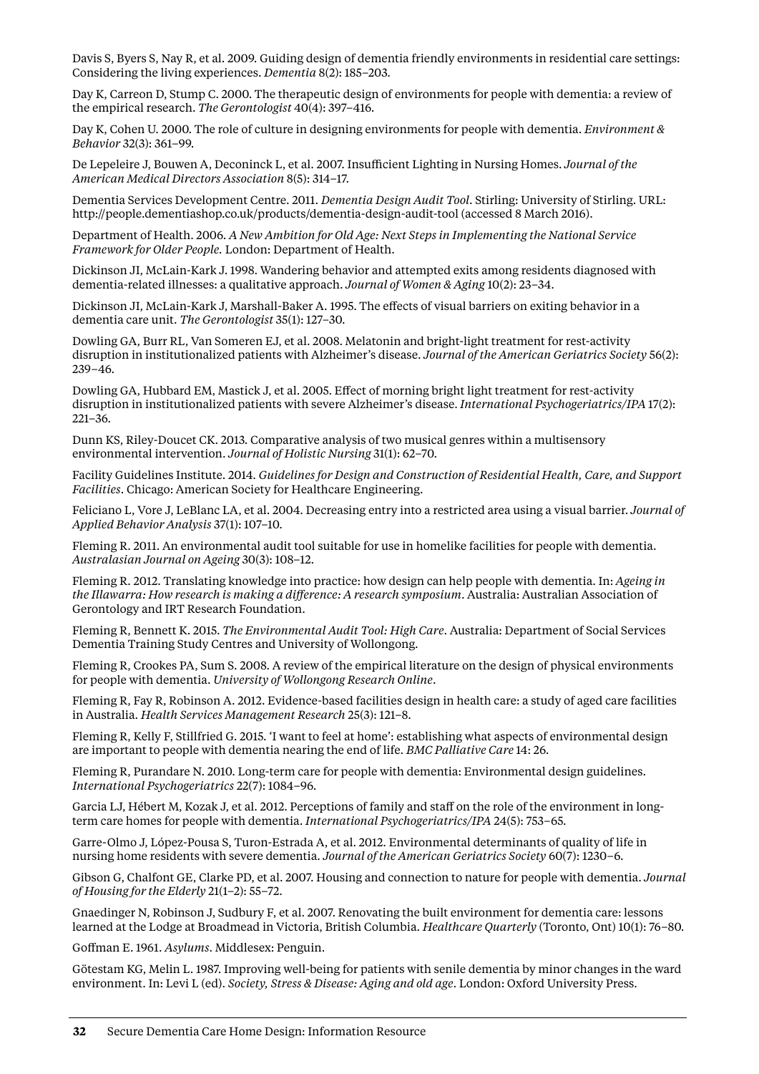Davis S, Byers S, Nay R, et al. 2009. Guiding design of dementia friendly environments in residential care settings: Considering the living experiences. *Dementia* 8(2): 185–203.

Day K, Carreon D, Stump C. 2000. The therapeutic design of environments for people with dementia: a review of the empirical research. *The Gerontologist* 40(4): 397–416.

Day K, Cohen U. 2000. The role of culture in designing environments for people with dementia. *Environment & Behavior* 32(3): 361–99.

De Lepeleire J, Bouwen A, Deconinck L, et al. 2007. Insufficient Lighting in Nursing Homes. *Journal of the American Medical Directors Association* 8(5): 314–17.

Dementia Services Development Centre. 2011. *Dementia Design Audit Tool*. Stirling: University of Stirling. URL: http://people.dementiashop.co.uk/products/dementia-design-audit-tool (accessed 8 March 2016).

Department of Health. 2006. *A New Ambition for Old Age: Next Steps in Implementing the National Service Framework for Older People.* London: Department of Health.

Dickinson JI, McLain-Kark J. 1998. Wandering behavior and attempted exits among residents diagnosed with dementia-related illnesses: a qualitative approach. *Journal of Women & Aging* 10(2): 23–34.

Dickinson JI, McLain-Kark J, Marshall-Baker A. 1995. The effects of visual barriers on exiting behavior in a dementia care unit. *The Gerontologist* 35(1): 127–30.

Dowling GA, Burr RL, Van Someren EJ, et al. 2008. Melatonin and bright-light treatment for rest-activity disruption in institutionalized patients with Alzheimer's disease. *Journal of the American Geriatrics Society* 56(2): 239–46.

Dowling GA, Hubbard EM, Mastick J, et al. 2005. Effect of morning bright light treatment for rest-activity disruption in institutionalized patients with severe Alzheimer's disease. *International Psychogeriatrics/IPA* 17(2): 221–36.

Dunn KS, Riley-Doucet CK. 2013. Comparative analysis of two musical genres within a multisensory environmental intervention. *Journal of Holistic Nursing* 31(1): 62–70.

Facility Guidelines Institute. 2014. *Guidelines for Design and Construction of Residential Health, Care, and Support Facilities*. Chicago: American Society for Healthcare Engineering.

Feliciano L, Vore J, LeBlanc LA, et al. 2004. Decreasing entry into a restricted area using a visual barrier. *Journal of Applied Behavior Analysis* 37(1): 107–10.

Fleming R. 2011. An environmental audit tool suitable for use in homelike facilities for people with dementia. *Australasian Journal on Ageing* 30(3): 108–12.

Fleming R. 2012. Translating knowledge into practice: how design can help people with dementia. In: *Ageing in the Illawarra: How research is making a difference: A research symposium*. Australia: Australian Association of Gerontology and IRT Research Foundation.

Fleming R, Bennett K. 2015. *The Environmental Audit Tool: High Care*. Australia: Department of Social Services Dementia Training Study Centres and University of Wollongong.

Fleming R, Crookes PA, Sum S. 2008. A review of the empirical literature on the design of physical environments for people with dementia. *University of Wollongong Research Online*.

Fleming R, Fay R, Robinson A. 2012. Evidence-based facilities design in health care: a study of aged care facilities in Australia. *Health Services Management Research* 25(3): 121–8.

Fleming R, Kelly F, Stillfried G. 2015. 'I want to feel at home': establishing what aspects of environmental design are important to people with dementia nearing the end of life. *BMC Palliative Care* 14: 26.

Fleming R, Purandare N. 2010. Long-term care for people with dementia: Environmental design guidelines. *International Psychogeriatrics* 22(7): 1084–96.

Garcia LJ, Hébert M, Kozak J, et al. 2012. Perceptions of family and staff on the role of the environment in longterm care homes for people with dementia. *International Psychogeriatrics/IPA* 24(5): 753–65.

Garre-Olmo J, López-Pousa S, Turon-Estrada A, et al. 2012. Environmental determinants of quality of life in nursing home residents with severe dementia. *Journal of the American Geriatrics Society* 60(7): 1230–6.

Gibson G, Chalfont GE, Clarke PD, et al. 2007. Housing and connection to nature for people with dementia. *Journal of Housing for the Elderly* 21(1–2): 55–72.

Gnaedinger N, Robinson J, Sudbury F, et al. 2007. Renovating the built environment for dementia care: lessons learned at the Lodge at Broadmead in Victoria, British Columbia. *Healthcare Quarterly* (Toronto, Ont) 10(1): 76–80.

Goffman E. 1961. *Asylums*. Middlesex: Penguin.

Götestam KG, Melin L. 1987. Improving well-being for patients with senile dementia by minor changes in the ward environment. In: Levi L (ed). *Society, Stress & Disease: Aging and old age*. London: Oxford University Press.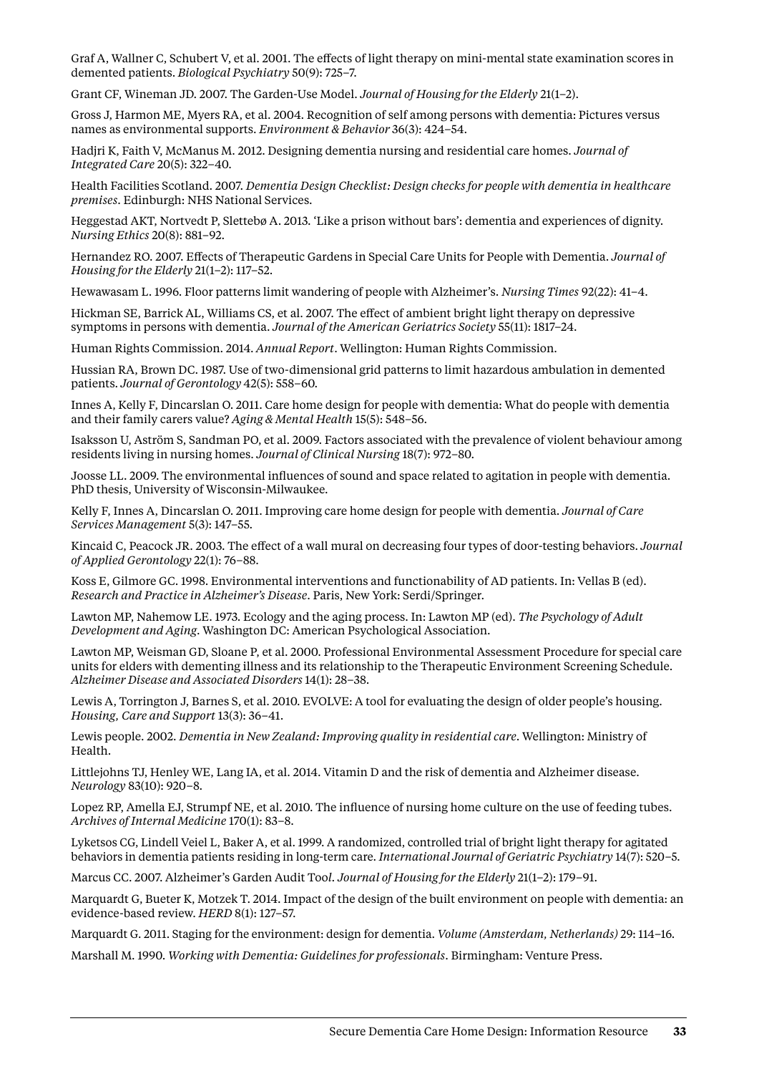Graf A, Wallner C, Schubert V, et al. 2001. The effects of light therapy on mini-mental state examination scores in demented patients. *Biological Psychiatry* 50(9): 725–7.

Grant CF, Wineman JD. 2007. The Garden-Use Model. *Journal of Housing for the Elderly* 21(1–2).

Gross J, Harmon ME, Myers RA, et al. 2004. Recognition of self among persons with dementia: Pictures versus names as environmental supports. *Environment & Behavior* 36(3): 424–54.

Hadjri K, Faith V, McManus M. 2012. Designing dementia nursing and residential care homes. *Journal of Integrated Care* 20(5): 322–40.

Health Facilities Scotland. 2007. *Dementia Design Checklist: Design checks for people with dementia in healthcare premises*. Edinburgh: NHS National Services.

Heggestad AKT, Nortvedt P, Slettebø A. 2013. 'Like a prison without bars': dementia and experiences of dignity. *Nursing Ethics* 20(8): 881–92.

Hernandez RO. 2007. Effects of Therapeutic Gardens in Special Care Units for People with Dementia. *Journal of Housing for the Elderly* 21(1–2): 117–52.

Hewawasam L. 1996. Floor patterns limit wandering of people with Alzheimer's. *Nursing Times* 92(22): 41–4.

Hickman SE, Barrick AL, Williams CS, et al. 2007. The effect of ambient bright light therapy on depressive symptoms in persons with dementia. *Journal of the American Geriatrics Society* 55(11): 1817–24.

Human Rights Commission. 2014. *Annual Report*. Wellington: Human Rights Commission.

Hussian RA, Brown DC. 1987. Use of two-dimensional grid patterns to limit hazardous ambulation in demented patients. *Journal of Gerontology* 42(5): 558–60.

Innes A, Kelly F, Dincarslan O. 2011. Care home design for people with dementia: What do people with dementia and their family carers value? *Aging & Mental Health* 15(5): 548–56.

Isaksson U, Aström S, Sandman PO, et al. 2009. Factors associated with the prevalence of violent behaviour among residents living in nursing homes. *Journal of Clinical Nursing* 18(7): 972–80.

Joosse LL. 2009. The environmental influences of sound and space related to agitation in people with dementia. PhD thesis, University of Wisconsin-Milwaukee.

Kelly F, Innes A, Dincarslan O. 2011. Improving care home design for people with dementia. *Journal of Care Services Management* 5(3): 147–55.

Kincaid C, Peacock JR. 2003. The effect of a wall mural on decreasing four types of door-testing behaviors. *Journal of Applied Gerontology* 22(1): 76–88.

Koss E, Gilmore GC. 1998. Environmental interventions and functionability of AD patients. In: Vellas B (ed). *Research and Practice in Alzheimer's Disease*. Paris, New York: Serdi/Springer.

Lawton MP, Nahemow LE. 1973. Ecology and the aging process. In: Lawton MP (ed). *The Psychology of Adult Development and Aging*. Washington DC: American Psychological Association.

Lawton MP, Weisman GD, Sloane P, et al. 2000. Professional Environmental Assessment Procedure for special care units for elders with dementing illness and its relationship to the Therapeutic Environment Screening Schedule. *Alzheimer Disease and Associated Disorders* 14(1): 28–38.

Lewis A, Torrington J, Barnes S, et al. 2010. EVOLVE: A tool for evaluating the design of older people's housing. *Housing, Care and Support* 13(3): 36–41.

Lewis people. 2002. *Dementia in New Zealand: Improving quality in residential care*. Wellington: Ministry of Health.

Littlejohns TJ, Henley WE, Lang IA, et al. 2014. Vitamin D and the risk of dementia and Alzheimer disease. *Neurology* 83(10): 920–8.

Lopez RP, Amella EJ, Strumpf NE, et al. 2010. The influence of nursing home culture on the use of feeding tubes. *Archives of Internal Medicine* 170(1): 83–8.

Lyketsos CG, Lindell Veiel L, Baker A, et al. 1999. A randomized, controlled trial of bright light therapy for agitated behaviors in dementia patients residing in long-term care. *International Journal of Geriatric Psychiatry* 14(7): 520–5.

Marcus CC. 2007. Alzheimer's Garden Audit Too*l. Journal of Housing for the Elderly* 21(1–2): 179–91.

Marquardt G, Bueter K, Motzek T. 2014. Impact of the design of the built environment on people with dementia: an evidence-based review. *HERD* 8(1): 127–57.

Marquardt G. 2011. Staging for the environment: design for dementia. *Volume (Amsterdam, Netherlands)* 29: 114–16.

Marshall M. 1990. *Working with Dementia: Guidelines for professionals*. Birmingham: Venture Press.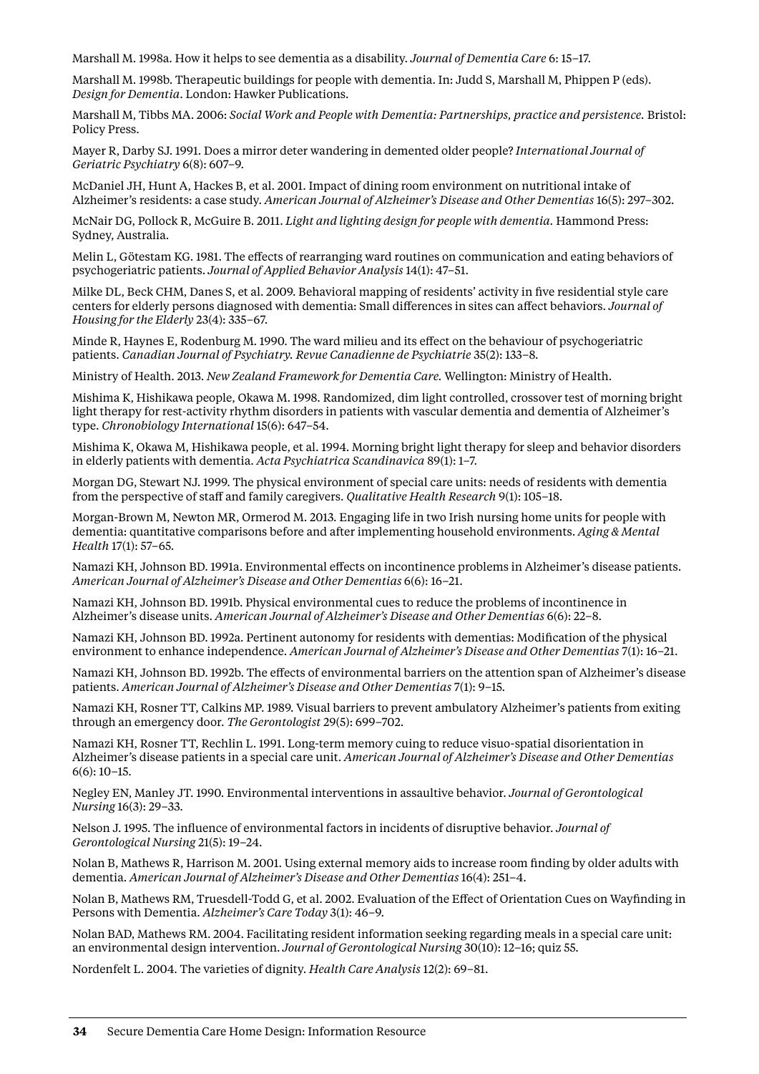Marshall M. 1998a. How it helps to see dementia as a disability. *Journal of Dementia Care* 6: 15–17.

Marshall M. 1998b. Therapeutic buildings for people with dementia. In: Judd S, Marshall M, Phippen P (eds). *Design for Dementia*. London: Hawker Publications.

Marshall M, Tibbs MA. 2006: *Social Work and People with Dementia: Partnerships, practice and persistence.* Bristol: Policy Press.

Mayer R, Darby SJ. 1991. Does a mirror deter wandering in demented older people? *International Journal of Geriatric Psychiatry* 6(8): 607–9.

McDaniel JH, Hunt A, Hackes B, et al. 2001. Impact of dining room environment on nutritional intake of Alzheimer's residents: a case study. *American Journal of Alzheimer's Disease and Other Dementias* 16(5): 297–302.

McNair DG, Pollock R, McGuire B. 2011. *Light and lighting design for people with dementia.* Hammond Press: Sydney, Australia.

Melin L, Götestam KG. 1981. The effects of rearranging ward routines on communication and eating behaviors of psychogeriatric patients. *Journal of Applied Behavior Analysis* 14(1): 47–51.

Milke DL, Beck CHM, Danes S, et al. 2009. Behavioral mapping of residents' activity in five residential style care centers for elderly persons diagnosed with dementia: Small differences in sites can affect behaviors. *Journal of Housing for the Elderly* 23(4): 335–67.

Minde R, Haynes E, Rodenburg M. 1990. The ward milieu and its effect on the behaviour of psychogeriatric patients. *Canadian Journal of Psychiatry. Revue Canadienne de Psychiatrie* 35(2): 133–8.

Ministry of Health. 2013. *New Zealand Framework for Dementia Care.* Wellington: Ministry of Health.

Mishima K, Hishikawa people, Okawa M. 1998. Randomized, dim light controlled, crossover test of morning bright light therapy for rest-activity rhythm disorders in patients with vascular dementia and dementia of Alzheimer's type. *Chronobiology International* 15(6): 647–54.

Mishima K, Okawa M, Hishikawa people, et al. 1994. Morning bright light therapy for sleep and behavior disorders in elderly patients with dementia. *Acta Psychiatrica Scandinavica* 89(1): 1–7.

Morgan DG, Stewart NJ. 1999. The physical environment of special care units: needs of residents with dementia from the perspective of staff and family caregivers. *Qualitative Health Research* 9(1): 105–18.

Morgan-Brown M, Newton MR, Ormerod M. 2013. Engaging life in two Irish nursing home units for people with dementia: quantitative comparisons before and after implementing household environments. *Aging & Mental Health* 17(1): 57–65.

Namazi KH, Johnson BD. 1991a. Environmental effects on incontinence problems in Alzheimer's disease patients. *American Journal of Alzheimer's Disease and Other Dementias* 6(6): 16–21.

Namazi KH, Johnson BD. 1991b. Physical environmental cues to reduce the problems of incontinence in Alzheimer's disease units. *American Journal of Alzheimer's Disease and Other Dementias* 6(6): 22–8.

Namazi KH, Johnson BD. 1992a. Pertinent autonomy for residents with dementias: Modification of the physical environment to enhance independence. *American Journal of Alzheimer's Disease and Other Dementias* 7(1): 16–21.

Namazi KH, Johnson BD. 1992b. The effects of environmental barriers on the attention span of Alzheimer's disease patients. *American Journal of Alzheimer's Disease and Other Dementias* 7(1): 9–15.

Namazi KH, Rosner TT, Calkins MP. 1989. Visual barriers to prevent ambulatory Alzheimer's patients from exiting through an emergency door. *The Gerontologist* 29(5): 699–702.

Namazi KH, Rosner TT, Rechlin L. 1991. Long-term memory cuing to reduce visuo-spatial disorientation in Alzheimer's disease patients in a special care unit. *American Journal of Alzheimer's Disease and Other Dementias*  6(6): 10–15.

Negley EN, Manley JT. 1990. Environmental interventions in assaultive behavior. *Journal of Gerontological Nursing* 16(3): 29–33.

Nelson J. 1995. The influence of environmental factors in incidents of disruptive behavior. *Journal of Gerontological Nursing* 21(5): 19–24.

Nolan B, Mathews R, Harrison M. 2001. Using external memory aids to increase room finding by older adults with dementia. *American Journal of Alzheimer's Disease and Other Dementias* 16(4): 251–4.

Nolan B, Mathews RM, Truesdell-Todd G, et al. 2002. Evaluation of the Effect of Orientation Cues on Wayfinding in Persons with Dementia. *Alzheimer's Care Today* 3(1): 46–9.

Nolan BAD, Mathews RM. 2004. Facilitating resident information seeking regarding meals in a special care unit: an environmental design intervention. *Journal of Gerontological Nursing* 30(10): 12–16; quiz 55.

Nordenfelt L. 2004. The varieties of dignity. *Health Care Analysis* 12(2): 69–81.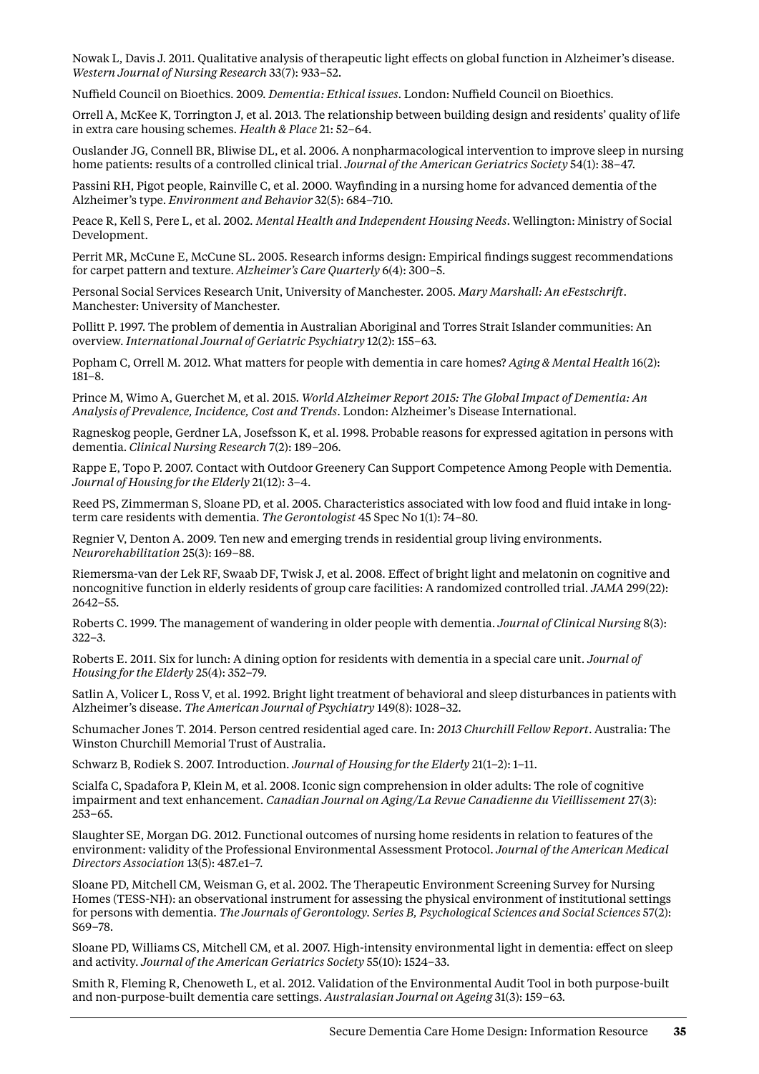Nowak L, Davis J. 2011. Qualitative analysis of therapeutic light effects on global function in Alzheimer's disease. *Western Journal of Nursing Research* 33(7): 933–52.

Nuffield Council on Bioethics. 2009. *Dementia: Ethical issues*. London: Nuffield Council on Bioethics.

Orrell A, McKee K, Torrington J, et al. 2013. The relationship between building design and residents' quality of life in extra care housing schemes. *Health & Place* 21: 52–64.

Ouslander JG, Connell BR, Bliwise DL, et al. 2006. A nonpharmacological intervention to improve sleep in nursing home patients: results of a controlled clinical trial. *Journal of the American Geriatrics Society* 54(1): 38–47.

Passini RH, Pigot people, Rainville C, et al. 2000. Wayfinding in a nursing home for advanced dementia of the Alzheimer's type. *Environment and Behavior* 32(5): 684–710.

Peace R, Kell S, Pere L, et al. 2002*. Mental Health and Independent Housing Needs*. Wellington: Ministry of Social Development.

Perrit MR, McCune E, McCune SL. 2005. Research informs design: Empirical findings suggest recommendations for carpet pattern and texture. *Alzheimer's Care Quarterly* 6(4): 300–5.

Personal Social Services Research Unit, University of Manchester. 2005. *Mary Marshall: An eFestschrift*. Manchester: University of Manchester.

Pollitt P. 1997. The problem of dementia in Australian Aboriginal and Torres Strait Islander communities: An overview. *International Journal of Geriatric Psychiatry* 12(2): 155–63.

Popham C, Orrell M. 2012. What matters for people with dementia in care homes? *Aging & Mental Health* 16(2): 181–8.

Prince M, Wimo A, Guerchet M, et al. 2015. *World Alzheimer Report 2015: The Global Impact of Dementia: An Analysis of Prevalence, Incidence, Cost and Trends*. London: Alzheimer's Disease International.

Ragneskog people, Gerdner LA, Josefsson K, et al. 1998. Probable reasons for expressed agitation in persons with dementia. *Clinical Nursing Research* 7(2): 189–206.

Rappe E, Topo P. 2007. Contact with Outdoor Greenery Can Support Competence Among People with Dementia. *Journal of Housing for the Elderly* 21(12): 3–4.

Reed PS, Zimmerman S, Sloane PD, et al. 2005. Characteristics associated with low food and fluid intake in longterm care residents with dementia. *The Gerontologist* 45 Spec No 1(1): 74–80.

Regnier V, Denton A. 2009. Ten new and emerging trends in residential group living environments. *Neurorehabilitation* 25(3): 169–88.

Riemersma-van der Lek RF, Swaab DF, Twisk J, et al. 2008. Effect of bright light and melatonin on cognitive and noncognitive function in elderly residents of group care facilities: A randomized controlled trial. *JAMA* 299(22): 2642–55.

Roberts C. 1999. The management of wandering in older people with dementia. *Journal of Clinical Nursing* 8(3): 322–3.

Roberts E. 2011. Six for lunch: A dining option for residents with dementia in a special care unit. *Journal of Housing for the Elderly* 25(4): 352–79.

Satlin A, Volicer L, Ross V, et al. 1992. Bright light treatment of behavioral and sleep disturbances in patients with Alzheimer's disease. *The American Journal of Psychiatry* 149(8): 1028–32.

Schumacher Jones T. 2014. Person centred residential aged care. In: *2013 Churchill Fellow Report*. Australia: The Winston Churchill Memorial Trust of Australia.

Schwarz B, Rodiek S. 2007. Introduction. *Journal of Housing for the Elderly* 21(1–2): 1–11.

Scialfa C, Spadafora P, Klein M, et al. 2008. Iconic sign comprehension in older adults: The role of cognitive impairment and text enhancement. *Canadian Journal on Aging/La Revue Canadienne du Vieillissement* 27(3): 253–65.

Slaughter SE, Morgan DG. 2012. Functional outcomes of nursing home residents in relation to features of the environment: validity of the Professional Environmental Assessment Protocol. *Journal of the American Medical Directors Association* 13(5): 487.e1–7.

Sloane PD, Mitchell CM, Weisman G, et al. 2002. The Therapeutic Environment Screening Survey for Nursing Homes (TESS-NH): an observational instrument for assessing the physical environment of institutional settings for persons with dementia. *The Journals of Gerontology. Series B, Psychological Sciences and Social Sciences* 57(2): S69–78.

Sloane PD, Williams CS, Mitchell CM, et al. 2007. High-intensity environmental light in dementia: effect on sleep and activity. *Journal of the American Geriatrics Society* 55(10): 1524–33.

Smith R, Fleming R, Chenoweth L, et al. 2012. Validation of the Environmental Audit Tool in both purpose-built and non-purpose-built dementia care settings. *Australasian Journal on Ageing* 31(3): 159–63.